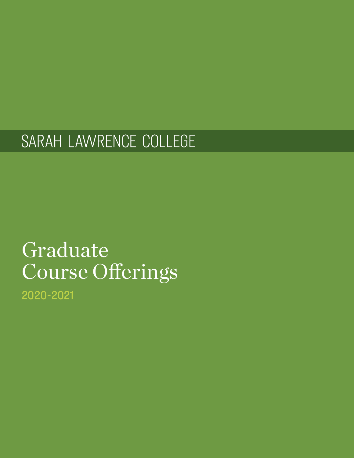# SARAH LAWRENCE COLLEGE

# Graduate Course Offerings

2020-2021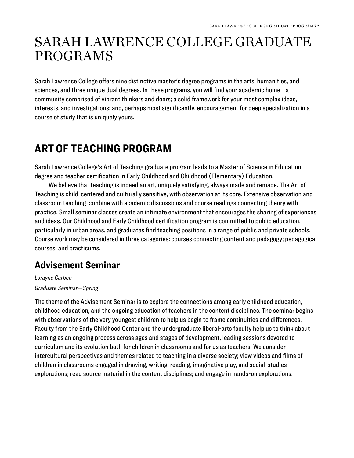# <span id="page-2-0"></span>SARAH LAWRENCE COLLEGE GRADUATE PROGRAMS

Sarah Lawrence College offers nine distinctive master's degree programs in the arts, humanities, and sciences, and three unique dual degrees. In these programs, you will find your academic home—a community comprised of vibrant thinkers and doers; a solid framework for your most complex ideas, interests, and investigations; and, perhaps most significantly, encouragement for deep specialization in a course of study that is uniquely yours.

# <span id="page-2-1"></span>**ART OF TEACHING PROGRAM**

Sarah Lawrence College's Art of Teaching graduate program leads to a Master of Science in Education degree and teacher certification in Early Childhood and Childhood (Elementary) Education.

We believe that teaching is indeed an art, uniquely satisfying, always made and remade. The Art of Teaching is child-centered and culturally sensitive, with observation at its core. Extensive observation and classroom teaching combine with academic discussions and course readings connecting theory with practice. Small seminar classes create an intimate environment that encourages the sharing of experiences and ideas. Our Childhood and Early Childhood certification program is committed to public education, particularly in urban areas, and graduates find teaching positions in a range of public and private schools. Course work may be considered in three categories: courses connecting content and pedagogy; pedagogical courses; and practicums.

#### **Advisement Seminar**

*Lorayne Carbon Graduate Seminar—Spring* 

The theme of the Advisement Seminar is to explore the connections among early childhood education, childhood education, and the ongoing education of teachers in the content disciplines. The seminar begins with observations of the very youngest children to help us begin to frame continuities and differences. Faculty from the Early Childhood Center and the undergraduate liberal-arts faculty help us to think about learning as an ongoing process across ages and stages of development, leading sessions devoted to curriculum and its evolution both for children in classrooms and for us as teachers. We consider intercultural perspectives and themes related to teaching in a diverse society; view videos and films of children in classrooms engaged in drawing, writing, reading, imaginative play, and social-studies explorations; read source material in the content disciplines; and engage in hands-on explorations.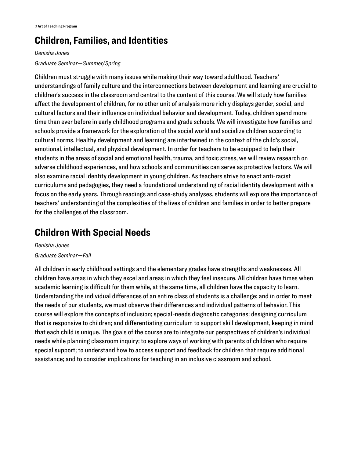### **Children, Families, and Identities**

#### *Denisha Jones Graduate Seminar—Summer/Spring*

Children must struggle with many issues while making their way toward adulthood. Teachers' understandings of family culture and the interconnections between development and learning are crucial to children's success in the classroom and central to the content of this course. We will study how families affect the development of children, for no other unit of analysis more richly displays gender, social, and cultural factors and their influence on individual behavior and development. Today, children spend more time than ever before in early childhood programs and grade schools. We will investigate how families and schools provide a framework for the exploration of the social world and socialize children according to cultural norms. Healthy development and learning are intertwined in the context of the child's social, emotional, intellectual, and physical development. In order for teachers to be equipped to help their students in the areas of social and emotional health, trauma, and toxic stress, we will review research on adverse childhood experiences, and how schools and communities can serve as protective factors. We will also examine racial identity development in young children. As teachers strive to enact anti-racist curriculums and pedagogies, they need a foundational understanding of racial identity development with a focus on the early years. Through readings and case-study analyses, students will explore the importance of teachers' understanding of the complexities of the lives of children and families in order to better prepare for the challenges of the classroom.

### **Children With Special Needs**

*Denisha Jones Graduate Seminar—Fall* 

All children in early childhood settings and the elementary grades have strengths and weaknesses. All children have areas in which they excel and areas in which they feel insecure. All children have times when academic learning is difficult for them while, at the same time, all children have the capacity to learn. Understanding the individual differences of an entire class of students is a challenge; and in order to meet the needs of our students, we must observe their differences and individual patterns of behavior. This course will explore the concepts of inclusion; special-needs diagnostic categories; designing curriculum that is responsive to children; and differentiating curriculum to support skill development, keeping in mind that each child is unique. The goals of the course are to integrate our perspectives of children's individual needs while planning classroom inquiry; to explore ways of working with parents of children who require special support; to understand how to access support and feedback for children that require additional assistance; and to consider implications for teaching in an inclusive classroom and school.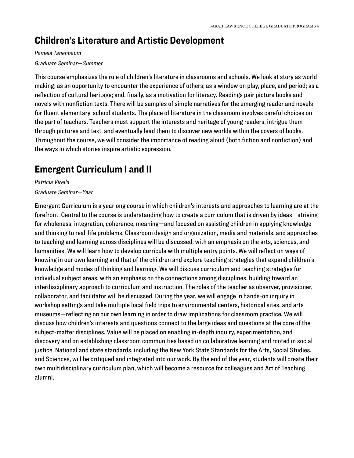### **Children's Literature and Artistic Development**

#### *Pamela Tanenbaum*

#### *Graduate Seminar—Summer*

This course emphasizes the role of children's literature in classrooms and schools. We look at story as world making; as an opportunity to encounter the experience of others; as a window on play, place, and period; as a reflection of cultural heritage; and, finally, as a motivation for literacy. Readings pair picture books and novels with nonfiction texts. There will be samples of simple narratives for the emerging reader and novels for fluent elementary-school students. The place of literature in the classroom involves careful choices on the part of teachers. Teachers must support the interests and heritage of young readers, intrigue them through pictures and text, and eventually lead them to discover new worlds within the covers of books. Throughout the course, we will consider the importance of reading aloud (both fiction and nonfiction) and the ways in which stories inspire artistic expression.

#### **Emergent Curriculum I and II**

*Patricia Virella* 

*Graduate Seminar—Year* 

Emergent Curriculum is a yearlong course in which children's interests and approaches to learning are at the forefront. Central to the course is understanding how to create a curriculum that is driven by ideas—striving for wholeness, integration, coherence, meaning—and focused on assisting children in applying knowledge and thinking to real-life problems. Classroom design and organization, media and materials, and approaches to teaching and learning across disciplines will be discussed, with an emphasis on the arts, sciences, and humanities. We will learn how to develop curricula with multiple entry points. We will reflect on ways of knowing in our own learning and that of the children and explore teaching strategies that expand children's knowledge and modes of thinking and learning. We will discuss curriculum and teaching strategies for individual subject areas, with an emphasis on the connections among disciplines, building toward an interdisciplinary approach to curriculum and instruction. The roles of the teacher as observer, provisioner, collaborator, and facilitator will be discussed. During the year, we will engage in hands-on inquiry in workshop settings and take multiple local field trips to environmental centers, historical sites, and arts museums—reflecting on our own learning in order to draw implications for classroom practice. We will discuss how children's interests and questions connect to the large ideas and questions at the core of the subject-matter disciplines. Value will be placed on enabling in-depth inquiry, experimentation, and discovery and on establishing classroom communities based on collaborative learning and rooted in social justice. National and state standards, including the New York State Standards for the Arts, Social Studies, and Sciences, will be critiqued and integrated into our work. By the end of the year, students will create their own multidisciplinary curriculum plan, which will become a resource for colleagues and Art of Teaching alumni.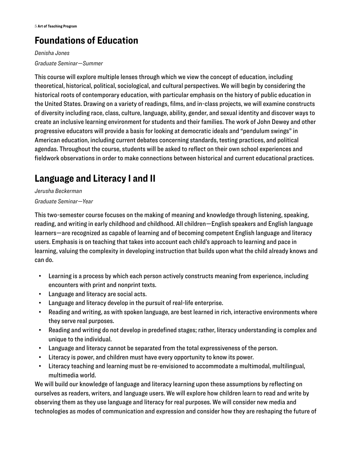# **Foundations of Education**

*Denisha Jones Graduate Seminar—Summer* 

This course will explore multiple lenses through which we view the concept of education, including theoretical, historical, political, sociological, and cultural perspectives. We will begin by considering the historical roots of contemporary education, with particular emphasis on the history of public education in the United States. Drawing on a variety of readings, films, and in-class projects, we will examine constructs of diversity including race, class, culture, language, ability, gender, and sexual identity and discover ways to create an inclusive learning environment for students and their families. The work of John Dewey and other progressive educators will provide a basis for looking at democratic ideals and "pendulum swings" in American education, including current debates concerning standards, testing practices, and political agendas. Throughout the course, students will be asked to reflect on their own school experiences and fieldwork observations in order to make connections between historical and current educational practices.

# **Language and Literacy I and II**

*Jerusha Beckerman Graduate Seminar—Year* 

This two-semester course focuses on the making of meaning and knowledge through listening, speaking, reading, and writing in early childhood and childhood. All children—English speakers and English language learners—are recognized as capable of learning and of becoming competent English language and literacy users. Emphasis is on teaching that takes into account each child's approach to learning and pace in learning, valuing the complexity in developing instruction that builds upon what the child already knows and can do.

- Learning is a process by which each person actively constructs meaning from experience, including encounters with print and nonprint texts.
- Language and literacy are social acts.
- Language and literacy develop in the pursuit of real-life enterprise.
- Reading and writing, as with spoken language, are best learned in rich, interactive environments where they serve real purposes.
- Reading and writing do not develop in predefined stages; rather, literacy understanding is complex and unique to the individual.
- Language and literacy cannot be separated from the total expressiveness of the person.
- Literacy is power, and children must have every opportunity to know its power.
- Literacy teaching and learning must be re-envisioned to accommodate a multimodal, multilingual, multimedia world.

We will build our knowledge of language and literacy learning upon these assumptions by reflecting on ourselves as readers, writers, and language users. We will explore how children learn to read and write by observing them as they use language and literacy for real purposes. We will consider new media and technologies as modes of communication and expression and consider how they are reshaping the future of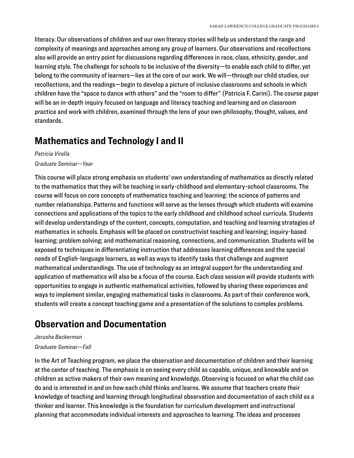literacy. Our observations of children and our own literacy stories will help us understand the range and complexity of meanings and approaches among any group of learners. Our observations and recollections also will provide an entry point for discussions regarding differences in race, class, ethnicity, gender, and learning style. The challenge for schools to be inclusive of the diversity—to enable each child to differ, yet belong to the community of learners—lies at the core of our work. We will—through our child studies, our recollections, and the readings—begin to develop a picture of inclusive classrooms and schools in which children have the "space to dance with others" and the "room to differ" (Patricia F. Carini). The course paper will be an in-depth inquiry focused on language and literacy teaching and learning and on classroom practice and work with children, examined through the lens of your own philosophy, thought, values, and standards.

#### **Mathematics and Technology I and II**

*Patricia Virella Graduate Seminar—Year* 

This course will place strong emphasis on students' own understanding of mathematics as directly related to the mathematics that they will be teaching in early-childhood and elementary-school classrooms. The course will focus on core concepts of mathematics teaching and learning: the science of patterns and number relationships. Patterns and functions will serve as the lenses through which students will examine connections and applications of the topics to the early childhood and childhood school curricula. Students will develop understandings of the content, concepts, computation, and teaching and learning strategies of mathematics in schools. Emphasis will be placed on constructivist teaching and learning; inquiry-based learning; problem solving; and mathematical reasoning, connections, and communication. Students will be exposed to techniques in differentiating instruction that addresses learning differences and the special needs of English-language learners, as well as ways to identify tasks that challenge and augment mathematical understandings. The use of technology as an integral support for the understanding and application of mathematics will also be a focus of the course. Each class session will provide students with opportunities to engage in authentic mathematical activities, followed by sharing these experiences and ways to implement similar, engaging mathematical tasks in classrooms. As part of their conference work, students will create a concept teaching game and a presentation of the solutions to complex problems.

### **Observation and Documentation**

#### *Jerusha Beckerman*

#### *Graduate Seminar—Fall*

In the Art of Teaching program, we place the observation and documentation of children and their learning at the center of teaching. The emphasis is on seeing every child as capable, unique, and knowable and on children as active makers of their own meaning and knowledge. Observing is focused on what the child can do and is interested in and on how each child thinks and learns. We assume that teachers create their knowledge of teaching and learning through longitudinal observation and documentation of each child as a thinker and learner. This knowledge is the foundation for curriculum development and instructional planning that accommodate individual interests and approaches to learning. The ideas and processes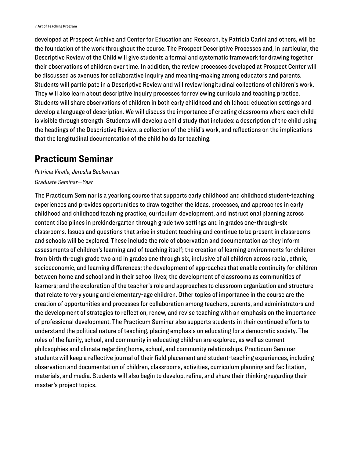developed at Prospect Archive and Center for Education and Research, by Patricia Carini and others, will be the foundation of the work throughout the course. The Prospect Descriptive Processes and, in particular, the Descriptive Review of the Child will give students a formal and systematic framework for drawing together their observations of children over time. In addition, the review processes developed at Prospect Center will be discussed as avenues for collaborative inquiry and meaning-making among educators and parents. Students will participate in a Descriptive Review and will review longitudinal collections of children's work. They will also learn about descriptive inquiry processes for reviewing curricula and teaching practice. Students will share observations of children in both early childhood and childhood education settings and develop a language of description. We will discuss the importance of creating classrooms where each child is visible through strength. Students will develop a child study that includes: a description of the child using the headings of the Descriptive Review, a collection of the child's work, and reflections on the implications that the longitudinal documentation of the child holds for teaching.

#### **Practicum Seminar**

*Patricia Virella, Jerusha Beckerman Graduate Seminar—Year* 

The Practicum Seminar is a yearlong course that supports early childhood and childhood student-teaching experiences and provides opportunities to draw together the ideas, processes, and approaches in early childhood and childhood teaching practice, curriculum development, and instructional planning across content disciplines in prekindergarten through grade two settings and in grades one-through-six classrooms. Issues and questions that arise in student teaching and continue to be present in classrooms and schools will be explored. These include the role of observation and documentation as they inform assessments of children's learning and of teaching itself; the creation of learning environments for children from birth through grade two and in grades one through six, inclusive of all children across racial, ethnic, socioeconomic, and learning differences; the development of approaches that enable continuity for children between home and school and in their school lives; the development of classrooms as communities of learners; and the exploration of the teacher's role and approaches to classroom organization and structure that relate to very young and elementary-age children. Other topics of importance in the course are the creation of opportunities and processes for collaboration among teachers, parents, and administrators and the development of strategies to reflect on, renew, and revise teaching with an emphasis on the importance of professional development. The Practicum Seminar also supports students in their continued efforts to understand the political nature of teaching, placing emphasis on educating for a democratic society. The roles of the family, school, and community in educating children are explored, as well as current philosophies and climate regarding home, school, and community relationships. Practicum Seminar students will keep a reflective journal of their field placement and student-teaching experiences, including observation and documentation of children, classrooms, activities, curriculum planning and facilitation, materials, and media. Students will also begin to develop, refine, and share their thinking regarding their master's project topics.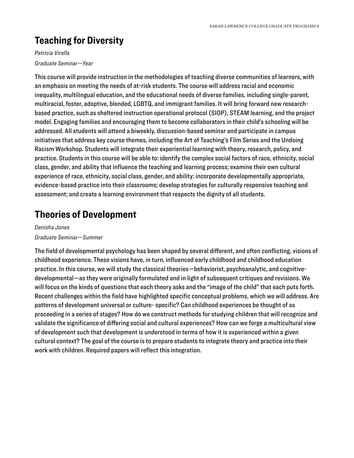# **Teaching for Diversity**

*Patricia Virella Graduate Seminar—Year* 

This course will provide instruction in the methodologies of teaching diverse communities of learners, with an emphasis on meeting the needs of at-risk students. The course will address racial and economic inequality, multilingual education, and the educational needs of diverse families, including single-parent, multiracial, foster, adoptive, blended, LGBTQ, and immigrant families. It will bring forward new researchbased practice, such as sheltered instruction operational protocol (SIOP), STEAM learning, and the project model. Engaging families and encouraging them to become collaborators in their child's schooling will be addressed. All students will attend a biweekly, discussion-based seminar and participate in campus initiatives that address key course themes, including the Art of Teaching's Film Series and the Undoing Racism Workshop. Students will integrate their experiential learning with theory, research, policy, and practice. Students in this course will be able to: identify the complex social factors of race, ethnicity, social class, gender, and ability that influence the teaching and learning process; examine their own cultural experience of race, ethnicity, social class, gender, and ability; incorporate developmentally appropriate, evidence-based practice into their classrooms; develop strategies for culturally responsive teaching and assessment; and create a learning environment that respects the dignity of all students.

### **Theories of Development**

*Denisha Jones Graduate Seminar—Summer* 

The field of developmental psychology has been shaped by several different, and often conflicting, visions of childhood experience. These visions have, in turn, influenced early childhood and childhood education practice. In this course, we will study the classical theories—behaviorist, psychoanalytic, and cognitivedevelopmental—as they were originally formulated and in light of subsequent critiques and revisions. We will focus on the kinds of questions that each theory asks and the "image of the child" that each puts forth. Recent challenges within the field have highlighted specific conceptual problems, which we will address. Are patterns of development universal or culture- specific? Can childhood experiences be thought of as proceeding in a series of stages? How do we construct methods for studying children that will recognize and validate the significance of differing social and cultural experiences? How can we forge a multicultural view of development such that development is understood in terms of how it is experienced within a given cultural context? The goal of the course is to prepare students to integrate theory and practice into their work with children. Required papers will reflect this integration.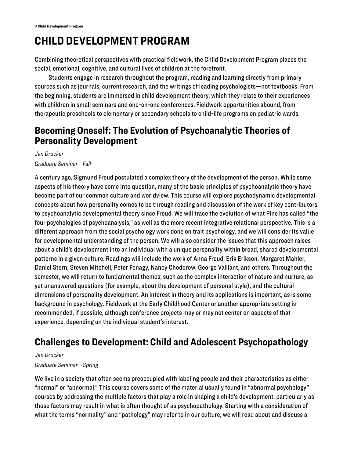# <span id="page-9-0"></span>**CHILD DEVELOPMENT PROGRAM**

Combining theoretical perspectives with practical fieldwork, the Child Development Program places the social, emotional, cognitive, and cultural lives of children at the forefront.

Students engage in research throughout the program, reading and learning directly from primary sources such as journals, current research, and the writings of leading psychologists—not textbooks. From the beginning, students are immersed in child development theory, which they relate to their experiences with children in small seminars and one-on-one conferences. Fieldwork opportunities abound, from therapeutic preschools to elementary or secondary schools to child-life programs on pediatric wards.

#### **Becoming Oneself: The Evolution of Psychoanalytic Theories of Personality Development**

*Jan Drucker* 

*Graduate Seminar—Fall* 

A century ago, Sigmund Freud postulated a complex theory of the development of the person. While some aspects of his theory have come into question, many of the basic principles of psychoanalytic theory have become part of our common culture and worldview. This course will explore psychodynamic developmental concepts about how personality comes to be through reading and discussion of the work of key contributors to psychoanalytic developmental theory since Freud. We will trace the evolution of what Pine has called "the four psychologies of psychoanalysis," as well as the more recent integrative relational perspective. This is a different approach from the social psychology work done on trait psychology, and we will consider its value for developmental understanding of the person. We will also consider the issues that this approach raises about a child's development into an individual with a unique personality within broad, shared developmental patterns in a given culture. Readings will include the work of Anna Freud, Erik Erikson, Margaret Mahler, Daniel Stern, Steven Mitchell, Peter Fonagy, Nancy Chodorow, George Vaillant, and others. Throughout the semester, we will return to fundamental themes, such as the complex interaction of nature and nurture, as yet unanswered questions (for example, about the development of personal style), and the cultural dimensions of personality development. An interest in theory and its applications is important, as is some background in psychology. Fieldwork at the Early Childhood Center or another appropriate setting is recommended, if possible, although conference projects may or may not center on aspects of that experience, depending on the individual student's interest.

### **Challenges to Development: Child and Adolescent Psychopathology**

*Jan Drucker* 

#### *Graduate Seminar—Spring*

We live in a society that often seems preoccupied with labeling people and their characteristics as either "normal" or "abnormal." This course covers some of the material usually found in "abnormal psychology" courses by addressing the multiple factors that play a role in shaping a child's development, particularly as those factors may result in what is often thought of as psychopathology. Starting with a consideration of what the terms "normality" and "pathology" may refer to in our culture, we will read about and discuss a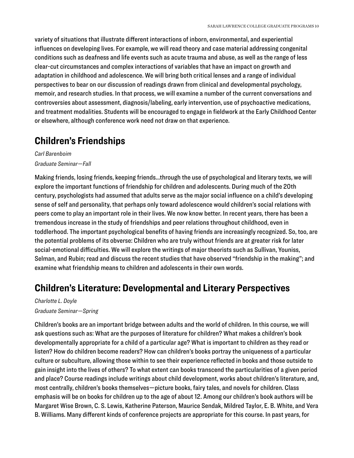variety of situations that illustrate different interactions of inborn, environmental, and experiential influences on developing lives. For example, we will read theory and case material addressing congenital conditions such as deafness and life events such as acute trauma and abuse, as well as the range of less clear-cut circumstances and complex interactions of variables that have an impact on growth and adaptation in childhood and adolescence. We will bring both critical lenses and a range of individual perspectives to bear on our discussion of readings drawn from clinical and developmental psychology, memoir, and research studies. In that process, we will examine a number of the current conversations and controversies about assessment, diagnosis/labeling, early intervention, use of psychoactive medications, and treatment modalities. Students will be encouraged to engage in fieldwork at the Early Childhood Center or elsewhere, although conference work need not draw on that experience.

#### **Children's Friendships**

*Carl Barenboim Graduate Seminar—Fall* 

Making friends, losing friends, keeping friends...through the use of psychological and literary texts, we will explore the important functions of friendship for children and adolescents. During much of the 20th century, psychologists had assumed that adults serve as the major social influence on a child's developing sense of self and personality, that perhaps only toward adolescence would children's social relations with peers come to play an important role in their lives. We now know better. In recent years, there has been a tremendous increase in the study of friendships and peer relations throughout childhood, even in toddlerhood. The important psychological benefits of having friends are increasingly recognized. So, too, are the potential problems of its obverse: Children who are truly without friends are at greater risk for later social-emotional difficulties. We will explore the writings of major theorists such as Sullivan, Youniss, Selman, and Rubin; read and discuss the recent studies that have observed "friendship in the making"; and examine what friendship means to children and adolescents in their own words.

#### **Children's Literature: Developmental and Literary Perspectives**

*Charlotte L. Doyle Graduate Seminar—Spring* 

Children's books are an important bridge between adults and the world of children. In this course, we will ask questions such as: What are the purposes of literature for children? What makes a children's book developmentally appropriate for a child of a particular age? What is important to children as they read or listen? How do children become readers? How can children's books portray the uniqueness of a particular culture or subculture, allowing those within to see their experience reflected in books and those outside to gain insight into the lives of others? To what extent can books transcend the particularities of a given period and place? Course readings include writings about child development, works about children's literature, and, most centrally, children's books themselves—picture books, fairy tales, and novels for children. Class emphasis will be on books for children up to the age of about 12. Among our children's book authors will be Margaret Wise Brown, C. S. Lewis, Katherine Paterson, Maurice Sendak, Mildred Taylor, E. B. White, and Vera B. Williams. Many different kinds of conference projects are appropriate for this course. In past years, for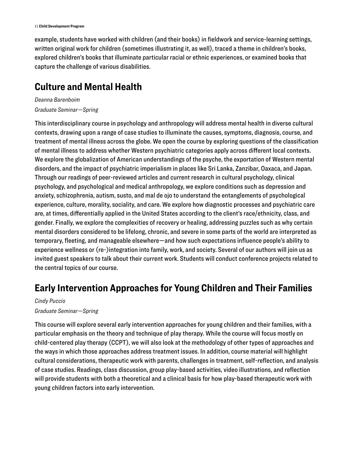example, students have worked with children (and their books) in fieldwork and service-learning settings, written original work for children (sometimes illustrating it, as well), traced a theme in children's books, explored children's books that illuminate particular racial or ethnic experiences, or examined books that capture the challenge of various disabilities.

#### **Culture and Mental Health**

*Deanna Barenboim Graduate Seminar—Spring* 

This interdisciplinary course in psychology and anthropology will address mental health in diverse cultural contexts, drawing upon a range of case studies to illuminate the causes, symptoms, diagnosis, course, and treatment of mental illness across the globe. We open the course by exploring questions of the classification of mental illness to address whether Western psychiatric categories apply across different local contexts. We explore the globalization of American understandings of the psyche, the exportation of Western mental disorders, and the impact of psychiatric imperialism in places like Sri Lanka, Zanzibar, Oaxaca, and Japan. Through our readings of peer-reviewed articles and current research in cultural psychology, clinical psychology, and psychological and medical anthropology, we explore conditions such as depression and anxiety, schizophrenia, autism, susto, and mal de ojo to understand the entanglements of psychological experience, culture, morality, sociality, and care. We explore how diagnostic processes and psychiatric care are, at times, differentially applied in the United States according to the client's race/ethnicity, class, and gender. Finally, we explore the complexities of recovery or healing, addressing puzzles such as why certain mental disorders considered to be lifelong, chronic, and severe in some parts of the world are interpreted as temporary, fleeting, and manageable elsewhere—and how such expectations influence people's ability to experience wellness or (re-)integration into family, work, and society. Several of our authors will join us as invited guest speakers to talk about their current work. Students will conduct conference projects related to the central topics of our course.

#### **Early Intervention Approaches for Young Children and Their Families**

#### *Cindy Puccio Graduate Seminar—Spring*

This course will explore several early intervention approaches for young children and their families, with a particular emphasis on the theory and technique of play therapy. While the course will focus mostly on child-centered play therapy (CCPT), we will also look at the methodology of other types of approaches and the ways in which those approaches address treatment issues. In addition, course material will highlight cultural considerations, therapeutic work with parents, challenges in treatment, self-reflection, and analysis of case studies. Readings, class discussion, group play-based activities, video illustrations, and reflection will provide students with both a theoretical and a clinical basis for how play-based therapeutic work with young children factors into early intervention.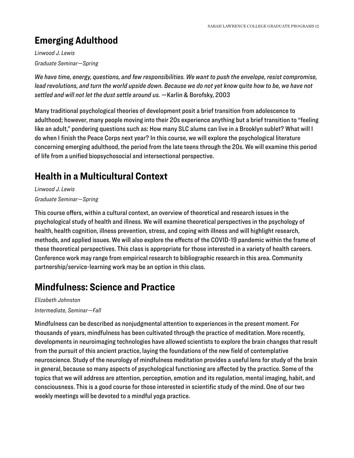### **Emerging Adulthood**

*Linwood J. Lewis Graduate Seminar—Spring* 

*We have time, energy, questions, and few responsibilities. We want to push the envelope, resist compromise, lead revolutions, and turn the world upside down. Because we do not yet know quite how to be, we have not settled and will not let the dust settle around us.* —Karlin & Borofsky, 2003

Many traditional psychological theories of development posit a brief transition from adolescence to adulthood; however, many people moving into their 20s experience anything but a brief transition to "feeling like an adult," pondering questions such as: How many SLC alums can live in a Brooklyn sublet? What will I do when I finish the Peace Corps next year? In this course, we will explore the psychological literature concerning emerging adulthood, the period from the late teens through the 20s. We will examine this period of life from a unified biopsychosocial and intersectional perspective.

# **Health in a Multicultural Context**

*Linwood J. Lewis Graduate Seminar—Spring* 

This course offers, within a cultural context, an overview of theoretical and research issues in the psychological study of health and illness. We will examine theoretical perspectives in the psychology of health, health cognition, illness prevention, stress, and coping with illness and will highlight research, methods, and applied issues. We will also explore the effects of the COVID-19 pandemic within the frame of these theoretical perspectives. This class is appropriate for those interested in a variety of health careers. Conference work may range from empirical research to bibliographic research in this area. Community partnership/service-learning work may be an option in this class.

# **Mindfulness: Science and Practice**

*Elizabeth Johnston Intermediate, Seminar—Fall* 

Mindfulness can be described as nonjudgmental attention to experiences in the present moment. For thousands of years, mindfulness has been cultivated through the practice of meditation. More recently, developments in neuroimaging technologies have allowed scientists to explore the brain changes that result from the pursuit of this ancient practice, laying the foundations of the new field of contemplative neuroscience. Study of the neurology of mindfulness meditation provides a useful lens for study of the brain in general, because so many aspects of psychological functioning are affected by the practice. Some of the topics that we will address are attention, perception, emotion and its regulation, mental imaging, habit, and consciousness. This is a good course for those interested in scientific study of the mind. One of our two weekly meetings will be devoted to a mindful yoga practice.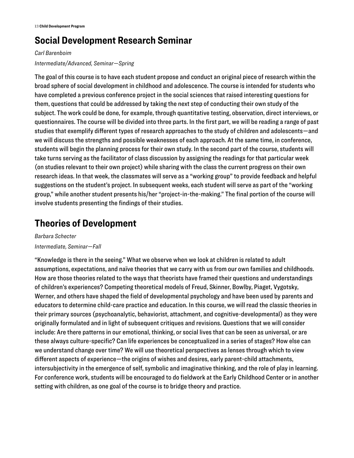# **Social Development Research Seminar**

#### *Carl Barenboim Intermediate/Advanced, Seminar—Spring*

The goal of this course is to have each student propose and conduct an original piece of research within the broad sphere of social development in childhood and adolescence. The course is intended for students who have completed a previous conference project in the social sciences that raised interesting questions for them, questions that could be addressed by taking the next step of conducting their own study of the subject. The work could be done, for example, through quantitative testing, observation, direct interviews, or questionnaires. The course will be divided into three parts. In the first part, we will be reading a range of past studies that exemplify different types of research approaches to the study of children and adolescents—and we will discuss the strengths and possible weaknesses of each approach. At the same time, in conference, students will begin the planning process for their own study. In the second part of the course, students will take turns serving as the facilitator of class discussion by assigning the readings for that particular week (on studies relevant to their own project) while sharing with the class the current progress on their own research ideas. In that week, the classmates will serve as a "working group" to provide feedback and helpful suggestions on the student's project. In subsequent weeks, each student will serve as part of the "working group," while another student presents his/her "project-in-the-making." The final portion of the course will involve students presenting the findings of their studies.

### **Theories of Development**

*Barbara Schecter Intermediate, Seminar—Fall* 

"Knowledge is there in the seeing." What we observe when we look at children is related to adult assumptions, expectations, and naïve theories that we carry with us from our own families and childhoods. How are those theories related to the ways that theorists have framed their questions and understandings of children's experiences? Competing theoretical models of Freud, Skinner, Bowlby, Piaget, Vygotsky, Werner, and others have shaped the field of developmental psychology and have been used by parents and educators to determine child-care practice and education. In this course, we will read the classic theories in their primary sources (psychoanalytic, behaviorist, attachment, and cognitive-developmental) as they were originally formulated and in light of subsequent critiques and revisions. Questions that we will consider include: Are there patterns in our emotional, thinking, or social lives that can be seen as universal, or are these always culture-specific? Can life experiences be conceptualized in a series of stages? How else can we understand change over time? We will use theoretical perspectives as lenses through which to view different aspects of experience—the origins of wishes and desires, early parent-child attachments, intersubjectivity in the emergence of self, symbolic and imaginative thinking, and the role of play in learning. For conference work, students will be encouraged to do fieldwork at the Early Childhood Center or in another setting with children, as one goal of the course is to bridge theory and practice.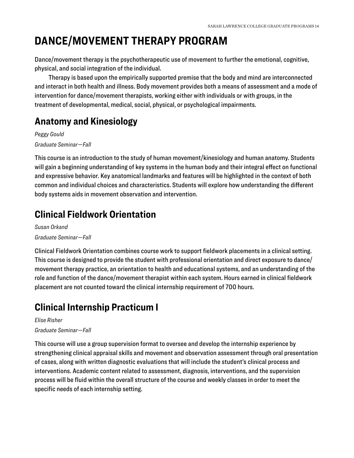# <span id="page-14-0"></span>**DANCE/MOVEMENT THERAPY PROGRAM**

Dance/movement therapy is the psychotherapeutic use of movement to further the emotional, cognitive, physical, and social integration of the individual.

Therapy is based upon the empirically supported premise that the body and mind are interconnected and interact in both health and illness. Body movement provides both a means of assessment and a mode of intervention for dance/movement therapists, working either with individuals or with groups, in the treatment of developmental, medical, social, physical, or psychological impairments.

### **Anatomy and Kinesiology**

*Peggy Gould Graduate Seminar—Fall* 

This course is an introduction to the study of human movement/kinesiology and human anatomy. Students will gain a beginning understanding of key systems in the human body and their integral effect on functional and expressive behavior. Key anatomical landmarks and features will be highlighted in the context of both common and individual choices and characteristics. Students will explore how understanding the different body systems aids in movement observation and intervention.

### **Clinical Fieldwork Orientation**

*Susan Orkand Graduate Seminar—Fall* 

Clinical Fieldwork Orientation combines course work to support fieldwork placements in a clinical setting. This course is designed to provide the student with professional orientation and direct exposure to dance/ movement therapy practice, an orientation to health and educational systems, and an understanding of the role and function of the dance/movement therapist within each system. Hours earned in clinical fieldwork placement are not counted toward the clinical internship requirement of 700 hours.

# **Clinical Internship Practicum I**

*Elise Risher Graduate Seminar—Fall* 

This course will use a group supervision format to oversee and develop the internship experience by strengthening clinical appraisal skills and movement and observation assessment through oral presentation of cases, along with written diagnostic evaluations that will include the student's clinical process and interventions. Academic content related to assessment, diagnosis, interventions, and the supervision process will be fluid within the overall structure of the course and weekly classes in order to meet the specific needs of each internship setting.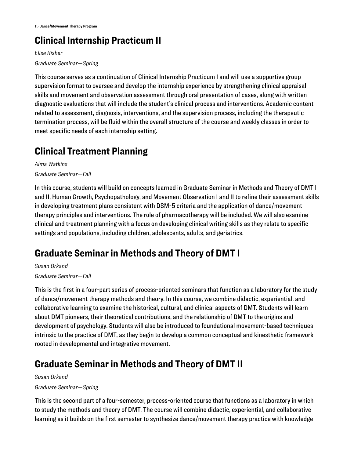# **Clinical Internship Practicum II**

*Elise Risher Graduate Seminar—Spring* 

This course serves as a continuation of Clinical Internship Practicum I and will use a supportive group supervision format to oversee and develop the internship experience by strengthening clinical appraisal skills and movement and observation assessment through oral presentation of cases, along with written diagnostic evaluations that will include the student's clinical process and interventions. Academic content related to assessment, diagnosis, interventions, and the supervision process, including the therapeutic termination process, will be fluid within the overall structure of the course and weekly classes in order to meet specific needs of each internship setting.

# **Clinical Treatment Planning**

*Alma Watkins Graduate Seminar—Fall* 

In this course, students will build on concepts learned in Graduate Seminar in Methods and Theory of DMT I and II, Human Growth, Psychopathology, and Movement Observation I and II to refine their assessment skills in developing treatment plans consistent with DSM-5 criteria and the application of dance/movement therapy principles and interventions. The role of pharmacotherapy will be included. We will also examine clinical and treatment planning with a focus on developing clinical writing skills as they relate to specific settings and populations, including children, adolescents, adults, and geriatrics.

# **Graduate Seminar in Methods and Theory of DMT I**

*Susan Orkand Graduate Seminar—Fall* 

This is the first in a four-part series of process-oriented seminars that function as a laboratory for the study of dance/movement therapy methods and theory. In this course, we combine didactic, experiential, and collaborative learning to examine the historical, cultural, and clinical aspects of DMT. Students will learn about DMT pioneers, their theoretical contributions, and the relationship of DMT to the origins and development of psychology. Students will also be introduced to foundational movement-based techniques intrinsic to the practice of DMT, as they begin to develop a common conceptual and kinesthetic framework rooted in developmental and integrative movement.

# **Graduate Seminar in Methods and Theory of DMT II**

*Susan Orkand Graduate Seminar—Spring* 

This is the second part of a four-semester, process-oriented course that functions as a laboratory in which to study the methods and theory of DMT. The course will combine didactic, experiential, and collaborative learning as it builds on the first semester to synthesize dance/movement therapy practice with knowledge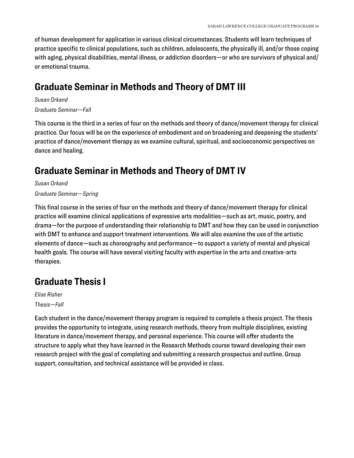of human development for application in various clinical circumstances. Students will learn techniques of practice specific to clinical populations, such as children, adolescents, the physically ill, and/or those coping with aging, physical disabilities, mental illness, or addiction disorders—or who are survivors of physical and/ or emotional trauma.

#### **Graduate Seminar in Methods and Theory of DMT III**

*Susan Orkand Graduate Seminar—Fall* 

This course is the third in a series of four on the methods and theory of dance/movement therapy for clinical practice. Our focus will be on the experience of embodiment and on broadening and deepening the students' practice of dance/movement therapy as we examine cultural, spiritual, and socioeconomic perspectives on dance and healing.

# **Graduate Seminar in Methods and Theory of DMT IV**

*Susan Orkand* 

*Graduate Seminar—Spring* 

This final course in the series of four on the methods and theory of dance/movement therapy for clinical practice will examine clinical applications of expressive arts modalities—such as art, music, poetry, and drama—for the purpose of understanding their relationship to DMT and how they can be used in conjunction with DMT to enhance and support treatment interventions. We will also examine the use of the artistic elements of dance—such as choreography and performance—to support a variety of mental and physical health goals. The course will have several visiting faculty with expertise in the arts and creative-arts therapies.

# **Graduate Thesis I**

*Elise Risher Thesis—Fall* 

Each student in the dance/movement therapy program is required to complete a thesis project. The thesis provides the opportunity to integrate, using research methods, theory from multiple disciplines, existing literature in dance/movement therapy, and personal experience. This course will offer students the structure to apply what they have learned in the Research Methods course toward developing their own research project with the goal of completing and submitting a research prospectus and outline. Group support, consultation, and technical assistance will be provided in class.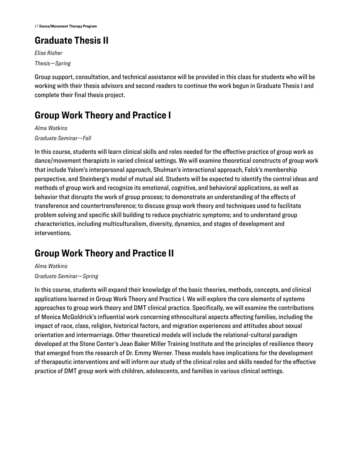# **Graduate Thesis II**

*Elise Risher Thesis—Spring* 

Group support, consultation, and technical assistance will be provided in this class for students who will be working with their thesis advisors and second readers to continue the work begun in Graduate Thesis I and complete their final thesis project.

### **Group Work Theory and Practice I**

*Alma Watkins* 

*Graduate Seminar—Fall* 

In this course, students will learn clinical skills and roles needed for the effective practice of group work as dance/movement therapists in varied clinical settings. We will examine theoretical constructs of group work that include Yalom's interpersonal approach, Shulman's interactional approach, Falck's membership perspective, and Steinberg's model of mutual aid. Students will be expected to identify the central ideas and methods of group work and recognize its emotional, cognitive, and behavioral applications, as well as behavior that disrupts the work of group process; to demonstrate an understanding of the effects of transference and countertransference; to discuss group work theory and techniques used to facilitate problem solving and specific skill building to reduce psychiatric symptoms; and to understand group characteristics, including multiculturalism, diversity, dynamics, and stages of development and interventions.

# **Group Work Theory and Practice II**

*Alma Watkins Graduate Seminar—Spring* 

In this course, students will expand their knowledge of the basic theories, methods, concepts, and clinical applications learned in Group Work Theory and Practice I. We will explore the core elements of systems approaches to group work theory and DMT clinical practice. Specifically, we will examine the contributions of Monica McGoldrick's influential work concerning ethnocultural aspects affecting families, including the impact of race, class, religion, historical factors, and migration experiences and attitudes about sexual orientation and intermarriage. Other theoretical models will include the relational-cultural paradigm developed at the Stone Center's Jean Baker Miller Training Institute and the principles of resilience theory that emerged from the research of Dr. Emmy Werner. These models have implications for the development of therapeutic interventions and will inform our study of the clinical roles and skills needed for the effective practice of DMT group work with children, adolescents, and families in various clinical settings.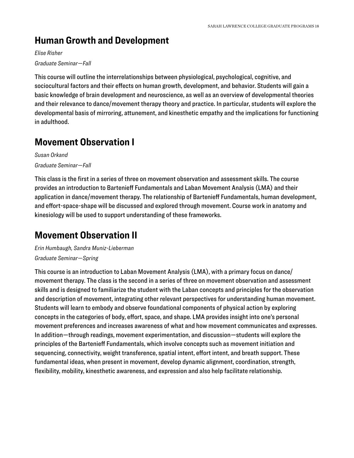# **Human Growth and Development**

*Elise Risher Graduate Seminar—Fall* 

This course will outline the interrelationships between physiological, psychological, cognitive, and sociocultural factors and their effects on human growth, development, and behavior. Students will gain a basic knowledge of brain development and neuroscience, as well as an overview of developmental theories and their relevance to dance/movement therapy theory and practice. In particular, students will explore the developmental basis of mirroring, attunement, and kinesthetic empathy and the implications for functioning in adulthood.

### **Movement Observation I**

*Susan Orkand Graduate Seminar—Fall* 

This class is the first in a series of three on movement observation and assessment skills. The course provides an introduction to Bartenieff Fundamentals and Laban Movement Analysis (LMA) and their application in dance/movement therapy. The relationship of Bartenieff Fundamentals, human development, and effort-space-shape will be discussed and explored through movement. Course work in anatomy and kinesiology will be used to support understanding of these frameworks.

# **Movement Observation II**

*Erin Humbaugh, Sandra Muniz-Lieberman Graduate Seminar—Spring* 

This course is an introduction to Laban Movement Analysis (LMA), with a primary focus on dance/ movement therapy. The class is the second in a series of three on movement observation and assessment skills and is designed to familiarize the student with the Laban concepts and principles for the observation and description of movement, integrating other relevant perspectives for understanding human movement. Students will learn to embody and observe foundational components of physical action by exploring concepts in the categories of body, effort, space, and shape. LMA provides insight into one's personal movement preferences and increases awareness of what and how movement communicates and expresses. In addition—through readings, movement experimentation, and discussion—students will explore the principles of the Bartenieff Fundamentals, which involve concepts such as movement initiation and sequencing, connectivity, weight transference, spatial intent, effort intent, and breath support. These fundamental ideas, when present in movement, develop dynamic alignment, coordination, strength, flexibility, mobility, kinesthetic awareness, and expression and also help facilitate relationship.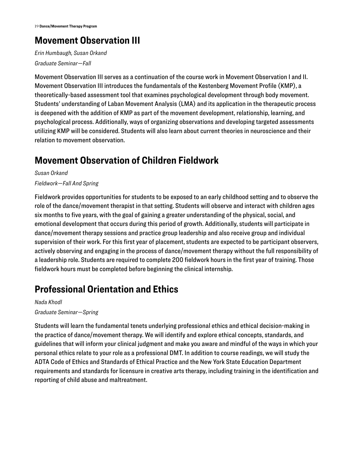# **Movement Observation III**

*Erin Humbaugh, Susan Orkand Graduate Seminar—Fall* 

Movement Observation III serves as a continuation of the course work in Movement Observation I and II. Movement Observation III introduces the fundamentals of the Kestenberg Movement Profile (KMP), a theoretically-based assessment tool that examines psychological development through body movement. Students' understanding of Laban Movement Analysis (LMA) and its application in the therapeutic process is deepened with the addition of KMP as part of the movement development, relationship, learning, and psychological process. Additionally, ways of organizing observations and developing targeted assessments utilizing KMP will be considered. Students will also learn about current theories in neuroscience and their relation to movement observation.

### **Movement Observation of Children Fieldwork**

*Susan Orkand Fieldwork—Fall And Spring* 

Fieldwork provides opportunities for students to be exposed to an early childhood setting and to observe the role of the dance/movement therapist in that setting. Students will observe and interact with children ages six months to five years, with the goal of gaining a greater understanding of the physical, social, and emotional development that occurs during this period of growth. Additionally, students will participate in dance/movement therapy sessions and practice group leadership and also receive group and individual supervision of their work. For this first year of placement, students are expected to be participant observers, actively observing and engaging in the process of dance/movement therapy without the full responsibility of a leadership role. Students are required to complete 200 fieldwork hours in the first year of training. Those fieldwork hours must be completed before beginning the clinical internship.

# **Professional Orientation and Ethics**

*Nada Khodl Graduate Seminar—Spring* 

Students will learn the fundamental tenets underlying professional ethics and ethical decision-making in the practice of dance/movement therapy. We will identify and explore ethical concepts, standards, and guidelines that will inform your clinical judgment and make you aware and mindful of the ways in which your personal ethics relate to your role as a professional DMT. In addition to course readings, we will study the ADTA Code of Ethics and Standards of Ethical Practice and the New York State Education Department requirements and standards for licensure in creative arts therapy, including training in the identification and reporting of child abuse and maltreatment.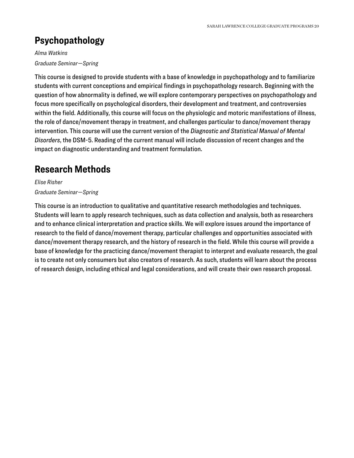# **Psychopathology**

*Alma Watkins Graduate Seminar—Spring* 

This course is designed to provide students with a base of knowledge in psychopathology and to familiarize students with current conceptions and empirical findings in psychopathology research. Beginning with the question of how abnormality is defined, we will explore contemporary perspectives on psychopathology and focus more specifically on psychological disorders, their development and treatment, and controversies within the field. Additionally, this course will focus on the physiologic and motoric manifestations of illness, the role of dance/movement therapy in treatment, and challenges particular to dance/movement therapy intervention. This course will use the current version of the *Diagnostic and Statistical Manual of Mental Disorders*, the DSM-5. Reading of the current manual will include discussion of recent changes and the impact on diagnostic understanding and treatment formulation.

# **Research Methods**

*Elise Risher Graduate Seminar—Spring* 

This course is an introduction to qualitative and quantitative research methodologies and techniques. Students will learn to apply research techniques, such as data collection and analysis, both as researchers and to enhance clinical interpretation and practice skills. We will explore issues around the importance of research to the field of dance/movement therapy, particular challenges and opportunities associated with dance/movement therapy research, and the history of research in the field. While this course will provide a base of knowledge for the practicing dance/movement therapist to interpret and evaluate research, the goal is to create not only consumers but also creators of research. As such, students will learn about the process of research design, including ethical and legal considerations, and will create their own research proposal.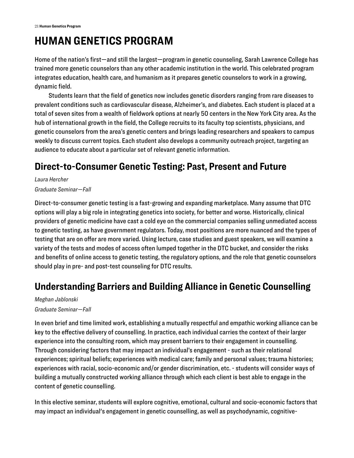# <span id="page-21-0"></span>**HUMAN GENETICS PROGRAM**

Home of the nation's first—and still the largest—program in genetic counseling, Sarah Lawrence College has trained more genetic counselors than any other academic institution in the world. This celebrated program integrates education, health care, and humanism as it prepares genetic counselors to work in a growing, dynamic field.

Students learn that the field of genetics now includes genetic disorders ranging from rare diseases to prevalent conditions such as cardiovascular disease, Alzheimer's, and diabetes. Each student is placed at a total of seven sites from a wealth of fieldwork options at nearly 50 centers in the New York City area. As the hub of international growth in the field, the College recruits to its faculty top scientists, physicians, and genetic counselors from the area's genetic centers and brings leading researchers and speakers to campus weekly to discuss current topics. Each student also develops a community outreach project, targeting an audience to educate about a particular set of relevant genetic information.

### **Direct-to-Consumer Genetic Testing: Past, Present and Future**

*Laura Hercher* 

#### *Graduate Seminar—Fall*

Direct-to-consumer genetic testing is a fast-growing and expanding marketplace. Many assume that DTC options will play a big role in integrating genetics into society, for better and worse. Historically, clinical providers of genetic medicine have cast a cold eye on the commercial companies selling unmediated access to genetic testing, as have government regulators. Today, most positions are more nuanced and the types of testing that are on offer are more varied. Using lecture, case studies and guest speakers, we will examine a variety of the tests and modes of access often lumped together in the DTC bucket, and consider the risks and benefits of online access to genetic testing, the regulatory options, and the role that genetic counselors should play in pre- and post-test counseling for DTC results.

# **Understanding Barriers and Building Alliance in Genetic Counselling**

#### *Meghan Jablonski Graduate Seminar—Fall*

In even brief and time limited work, establishing a mutually respectful and empathic working alliance can be key to the effective delivery of counselling. In practice, each individual carries the context of their larger experience into the consulting room, which may present barriers to their engagement in counselling. Through considering factors that may impact an individual's engagement - such as their relational experiences; spiritual beliefs; experiences with medical care; family and personal values; trauma histories; experiences with racial, socio-economic and/or gender discrimination, etc. - students will consider ways of building a mutually constructed working alliance through which each client is best able to engage in the content of genetic counselling.

In this elective seminar, students will explore cognitive, emotional, cultural and socio-economic factors that may impact an individual's engagement in genetic counselling, as well as psychodynamic, cognitive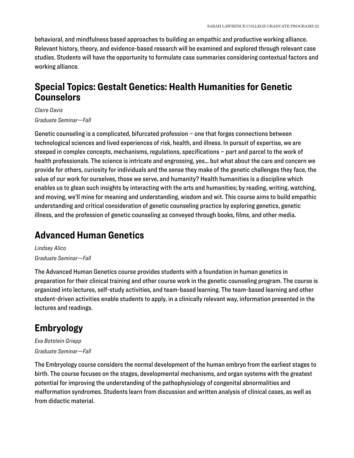behavioral, and mindfulness based approaches to building an empathic and productive working alliance. Relevant history, theory, and evidence-based research will be examined and explored through relevant case studies. Students will have the opportunity to formulate case summaries considering contextual factors and working alliance.

#### **Special Topics: Gestalt Genetics: Health Humanities for Genetic Counselors**

*Claire Davis Graduate Seminar—Fall* 

Genetic counseling is a complicated, bifurcated profession – one that forges connections between technological sciences and lived experiences of risk, health, and illness. In pursuit of expertise, we are steeped in complex concepts, mechanisms, regulations, specifications – part and parcel to the work of health professionals. The science is intricate and engrossing, yes… but what about the care and concern we provide for others, curiosity for individuals and the sense they make of the genetic challenges they face, the value of our work for ourselves, those we serve, and humanity? Health humanities is a discipline which enables us to glean such insights by interacting with the arts and humanities; by reading, writing, watching, and moving, we'll mine for meaning and understanding, wisdom and wit. This course aims to build empathic understanding and critical consideration of genetic counseling practice by exploring genetics, genetic illness, and the profession of genetic counseling as conveyed through books, films, and other media.

#### **Advanced Human Genetics**

*Lindsey Alico Graduate Seminar—Fall* 

The Advanced Human Genetics course provides students with a foundation in human genetics in preparation for their clinical training and other course work in the genetic counseling program. The course is organized into lectures, self-study activities, and team-based learning. The team-based learning and other student-driven activities enable students to apply, in a clinically relevant way, information presented in the lectures and readings.

### **Embryology**

*Eva Botstein Griepp Graduate Seminar—Fall* 

The Embryology course considers the normal development of the human embryo from the earliest stages to birth. The course focuses on the stages, developmental mechanisms, and organ systems with the greatest potential for improving the understanding of the pathophysiology of congenital abnormalities and malformation syndromes. Students learn from discussion and written analysis of clinical cases, as well as from didactic material.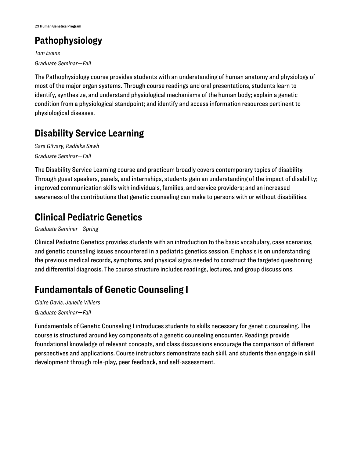# **Pathophysiology**

*Tom Evans Graduate Seminar—Fall* 

The Pathophysiology course provides students with an understanding of human anatomy and physiology of most of the major organ systems. Through course readings and oral presentations, students learn to identify, synthesize, and understand physiological mechanisms of the human body; explain a genetic condition from a physiological standpoint; and identify and access information resources pertinent to physiological diseases.

# **Disability Service Learning**

*Sara Gilvary, Radhika Sawh Graduate Seminar—Fall* 

The Disability Service Learning course and practicum broadly covers contemporary topics of disability. Through guest speakers, panels, and internships, students gain an understanding of the impact of disability; improved communication skills with individuals, families, and service providers; and an increased awareness of the contributions that genetic counseling can make to persons with or without disabilities.

# **Clinical Pediatric Genetics**

*Graduate Seminar—Spring* 

Clinical Pediatric Genetics provides students with an introduction to the basic vocabulary, case scenarios, and genetic counseling issues encountered in a pediatric genetics session. Emphasis is on understanding the previous medical records, symptoms, and physical signs needed to construct the targeted questioning and differential diagnosis. The course structure includes readings, lectures, and group discussions.

# **Fundamentals of Genetic Counseling I**

*Claire Davis, Janelle Villiers Graduate Seminar—Fall* 

Fundamentals of Genetic Counseling I introduces students to skills necessary for genetic counseling. The course is structured around key components of a genetic counseling encounter. Readings provide foundational knowledge of relevant concepts, and class discussions encourage the comparison of different perspectives and applications. Course instructors demonstrate each skill, and students then engage in skill development through role-play, peer feedback, and self-assessment.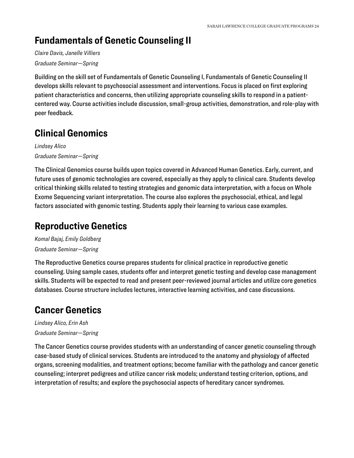### **Fundamentals of Genetic Counseling II**

*Claire Davis, Janelle Villiers Graduate Seminar—Spring* 

Building on the skill set of Fundamentals of Genetic Counseling I, Fundamentals of Genetic Counseling II develops skills relevant to psychosocial assessment and interventions. Focus is placed on first exploring patient characteristics and concerns, then utilizing appropriate counseling skills to respond in a patientcentered way. Course activities include discussion, small-group activities, demonstration, and role-play with peer feedback.

# **Clinical Genomics**

*Lindsey Alico Graduate Seminar—Spring* 

The Clinical Genomics course builds upon topics covered in Advanced Human Genetics. Early, current, and future uses of genomic technologies are covered, especially as they apply to clinical care. Students develop critical thinking skills related to testing strategies and genomic data interpretation, with a focus on Whole Exome Sequencing variant interpretation. The course also explores the psychosocial, ethical, and legal factors associated with genomic testing. Students apply their learning to various case examples.

#### **Reproductive Genetics**

*Komal Bajaj, Emily Goldberg Graduate Seminar—Spring* 

The Reproductive Genetics course prepares students for clinical practice in reproductive genetic counseling. Using sample cases, students offer and interpret genetic testing and develop case management skills. Students will be expected to read and present peer-reviewed journal articles and utilize core genetics databases. Course structure includes lectures, interactive learning activities, and case discussions.

# **Cancer Genetics**

*Lindsey Alico, Erin Ash Graduate Seminar—Spring* 

The Cancer Genetics course provides students with an understanding of cancer genetic counseling through case-based study of clinical services. Students are introduced to the anatomy and physiology of affected organs, screening modalities, and treatment options; become familiar with the pathology and cancer genetic counseling; interpret pedigrees and utilize cancer risk models; understand testing criterion, options, and interpretation of results; and explore the psychosocial aspects of hereditary cancer syndromes.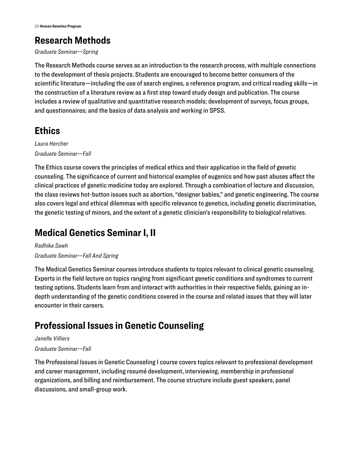# **Research Methods**

*Graduate Seminar—Spring* 

The Research Methods course serves as an introduction to the research process, with multiple connections to the development of thesis projects. Students are encouraged to become better consumers of the scientific literature—including the use of search engines, a reference program, and critical reading skills—in the construction of a literature review as a first step toward study design and publication. The course includes a review of qualitative and quantitative research models; development of surveys, focus groups, and questionnaires; and the basics of data analysis and working in SPSS.

# **Ethics**

*Laura Hercher Graduate Seminar—Fall* 

The Ethics course covers the principles of medical ethics and their application in the field of genetic counseling. The significance of current and historical examples of eugenics and how past abuses affect the clinical practices of genetic medicine today are explored. Through a combination of lecture and discussion, the class reviews hot-button issues such as abortion, "designer babies," and genetic engineering. The course also covers legal and ethical dilemmas with specific relevance to genetics, including genetic discrimination, the genetic testing of minors, and the extent of a genetic clinician's responsibility to biological relatives.

# **Medical Genetics Seminar I, II**

*Radhika Sawh Graduate Seminar—Fall And Spring* 

The Medical Genetics Seminar courses introduce students to topics relevant to clinical genetic counseling. Experts in the field lecture on topics ranging from significant genetic conditions and syndromes to current testing options. Students learn from and interact with authorities in their respective fields, gaining an indepth understanding of the genetic conditions covered in the course and related issues that they will later encounter in their careers.

# **Professional Issues in Genetic Counseling**

#### *Janelle Villiers*

#### *Graduate Seminar—Fall*

The Professional Issues in Genetic Counseling I course covers topics relevant to professional development and career management, including resumé development, interviewing, membership in professional organizations, and billing and reimbursement. The course structure include guest speakers, panel discussions, and small-group work.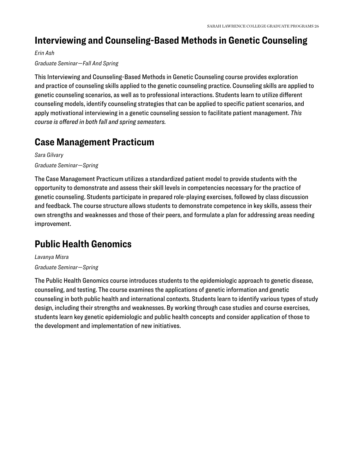### **Interviewing and Counseling-Based Methods in Genetic Counseling**

*Erin Ash* 

#### *Graduate Seminar—Fall And Spring*

This Interviewing and Counseling-Based Methods in Genetic Counseling course provides exploration and practice of counseling skills applied to the genetic counseling practice. Counseling skills are applied to genetic counseling scenarios, as well as to professional interactions. Students learn to utilize different counseling models, identify counseling strategies that can be applied to specific patient scenarios, and apply motivational interviewing in a genetic counseling session to facilitate patient management. *This course is offered in both fall and spring semesters.* 

#### **Case Management Practicum**

*Sara Gilvary Graduate Seminar—Spring* 

The Case Management Practicum utilizes a standardized patient model to provide students with the opportunity to demonstrate and assess their skill levels in competencies necessary for the practice of genetic counseling. Students participate in prepared role-playing exercises, followed by class discussion and feedback. The course structure allows students to demonstrate competence in key skills, assess their own strengths and weaknesses and those of their peers, and formulate a plan for addressing areas needing improvement.

#### **Public Health Genomics**

*Lavanya Misra Graduate Seminar—Spring* 

The Public Health Genomics course introduces students to the epidemiologic approach to genetic disease, counseling, and testing. The course examines the applications of genetic information and genetic counseling in both public health and international contexts. Students learn to identify various types of study design, including their strengths and weaknesses. By working through case studies and course exercises, students learn key genetic epidemiologic and public health concepts and consider application of those to the development and implementation of new initiatives.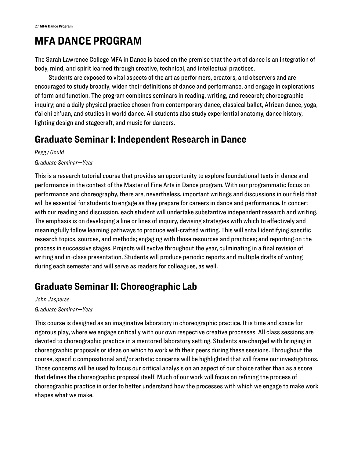# <span id="page-27-0"></span>**MFA DANCE PROGRAM**

The Sarah Lawrence College MFA in Dance is based on the premise that the art of dance is an integration of body, mind, and spirit learned through creative, technical, and intellectual practices.

Students are exposed to vital aspects of the art as performers, creators, and observers and are encouraged to study broadly, widen their definitions of dance and performance, and engage in explorations of form and function. The program combines seminars in reading, writing, and research; choreographic inquiry; and a daily physical practice chosen from contemporary dance, classical ballet, African dance, yoga, t'ai chi ch'uan, and studies in world dance. All students also study experiential anatomy, dance history, lighting design and stagecraft, and music for dancers.

### **Graduate Seminar I: Independent Research in Dance**

*Peggy Gould Graduate Seminar—Year* 

This is a research tutorial course that provides an opportunity to explore foundational texts in dance and performance in the context of the Master of Fine Arts in Dance program. With our programmatic focus on performance and choreography, there are, nevertheless, important writings and discussions in our field that will be essential for students to engage as they prepare for careers in dance and performance. In concert with our reading and discussion, each student will undertake substantive independent research and writing. The emphasis is on developing a line or lines of inquiry, devising strategies with which to effectively and meaningfully follow learning pathways to produce well-crafted writing. This will entail identifying specific research topics, sources, and methods; engaging with those resources and practices; and reporting on the process in successive stages. Projects will evolve throughout the year, culminating in a final revision of writing and in-class presentation. Students will produce periodic reports and multiple drafts of writing during each semester and will serve as readers for colleagues, as well.

# **Graduate Seminar II: Choreographic Lab**

*John Jasperse Graduate Seminar—Year* 

This course is designed as an imaginative laboratory in choreographic practice. It is time and space for rigorous play, where we engage critically with our own respective creative processes. All class sessions are devoted to choreographic practice in a mentored laboratory setting. Students are charged with bringing in choreographic proposals or ideas on which to work with their peers during these sessions. Throughout the course, specific compositional and/or artistic concerns will be highlighted that will frame our investigations. Those concerns will be used to focus our critical analysis on an aspect of our choice rather than as a score that defines the choreographic proposal itself. Much of our work will focus on refining the process of choreographic practice in order to better understand how the processes with which we engage to make work shapes what we make.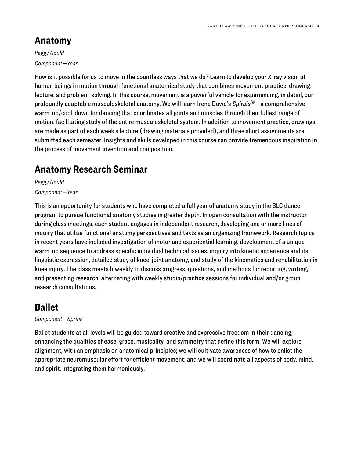### **Anatomy**

*Peggy Gould Component—Year* 

How is it possible for us to move in the countless ways that we do? Learn to develop your X-ray vision of human beings in motion through functional anatomical study that combines movement practice, drawing, lecture, and problem-solving. In this course, movement is a powerful vehicle for experiencing, in detail, our profoundly adaptable musculoskeletal anatomy. We will learn Irene Dowd's *Spirals©*—a comprehensive warm-up/cool-down for dancing that coordinates all joints and muscles through their fullest range of motion, facilitating study of the entire musculoskeletal system. In addition to movement practice, drawings are made as part of each week's lecture (drawing materials provided), and three short assignments are submitted each semester. Insights and skills developed in this course can provide tremendous inspiration in the process of movement invention and composition.

### **Anatomy Research Seminar**

*Peggy Gould* 

*Component—Year* 

This is an opportunity for students who have completed a full year of anatomy study in the SLC dance program to pursue functional anatomy studies in greater depth. In open consultation with the instructor during class meetings, each student engages in independent research, developing one or more lines of inquiry that utilize functional anatomy perspectives and texts as an organizing framework. Research topics in recent years have included investigation of motor and experiential learning, development of a unique warm-up sequence to address specific individual technical issues, inquiry into kinetic experience and its linguistic expression, detailed study of knee-joint anatomy, and study of the kinematics and rehabilitation in knee injury. The class meets biweekly to discuss progress, questions, and methods for reporting, writing, and presenting research, alternating with weekly studio/practice sessions for individual and/or group research consultations.

### **Ballet**

*Component—Spring* 

Ballet students at all levels will be guided toward creative and expressive freedom in their dancing, enhancing the qualities of ease, grace, musicality, and symmetry that define this form. We will explore alignment, with an emphasis on anatomical principles; we will cultivate awareness of how to enlist the appropriate neuromuscular effort for efficient movement; and we will coordinate all aspects of body, mind, and spirit, integrating them harmoniously.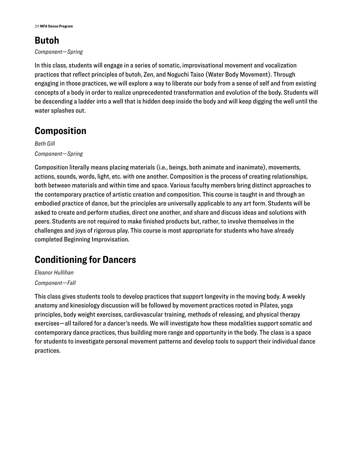### **Butoh**

#### *Component—Spring*

In this class, students will engage in a series of somatic, improvisational movement and vocalization practices that reflect principles of butoh, Zen, and Noguchi Taiso (Water Body Movement). Through engaging in those practices, we will explore a way to liberate our body from a sense of self and from existing concepts of a body in order to realize unprecedented transformation and evolution of the body. Students will be descending a ladder into a well that is hidden deep inside the body and will keep digging the well until the water splashes out.

#### **Composition**

*Beth Gill Component—Spring* 

Composition literally means placing materials (i.e., beings, both animate and inanimate), movements, actions, sounds, words, light, etc. with one another. Composition is the process of creating relationships, both between materials and within time and space. Various faculty members bring distinct approaches to the contemporary practice of artistic creation and composition. This course is taught in and through an embodied practice of dance, but the principles are universally applicable to any art form. Students will be asked to create and perform studies, direct one another, and share and discuss ideas and solutions with peers. Students are not required to make finished products but, rather, to involve themselves in the challenges and joys of rigorous play. This course is most appropriate for students who have already completed Beginning Improvisation.

### **Conditioning for Dancers**

*Eleanor Hullihan Component—Fall* 

This class gives students tools to develop practices that support longevity in the moving body. A weekly anatomy and kinesiology discussion will be followed by movement practices rooted in Pilates, yoga principles, body weight exercises, cardiovascular training, methods of releasing, and physical therapy exercises—all tailored for a dancer's needs. We will investigate how these modalities support somatic and contemporary dance practices, thus building more range and opportunity in the body. The class is a space for students to investigate personal movement patterns and develop tools to support their individual dance practices.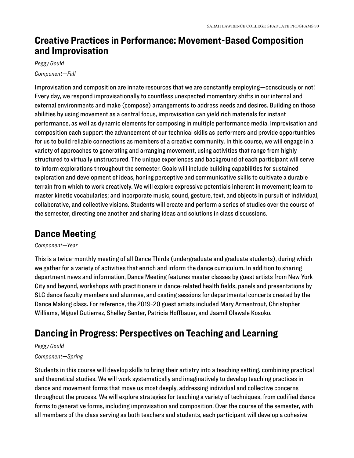#### **Creative Practices in Performance: Movement-Based Composition and Improvisation**

#### *Peggy Gould Component—Fall*

Improvisation and composition are innate resources that we are constantly employing—consciously or not! Every day, we respond improvisationally to countless unexpected momentary shifts in our internal and external environments and make (compose) arrangements to address needs and desires. Building on those abilities by using movement as a central focus, improvisation can yield rich materials for instant performance, as well as dynamic elements for composing in multiple performance media. Improvisation and composition each support the advancement of our technical skills as performers and provide opportunities for us to build reliable connections as members of a creative community. In this course, we will engage in a variety of approaches to generating and arranging movement, using activities that range from highly structured to virtually unstructured. The unique experiences and background of each participant will serve to inform explorations throughout the semester. Goals will include building capabilities for sustained exploration and development of ideas, honing perceptive and communicative skills to cultivate a durable terrain from which to work creatively. We will explore expressive potentials inherent in movement; learn to master kinetic vocabularies; and incorporate music, sound, gesture, text, and objects in pursuit of individual, collaborative, and collective visions. Students will create and perform a series of studies over the course of the semester, directing one another and sharing ideas and solutions in class discussions.

# **Dance Meeting**

#### *Component—Year*

This is a twice-monthly meeting of all Dance Thirds (undergraduate and graduate students), during which we gather for a variety of activities that enrich and inform the dance curriculum. In addition to sharing department news and information, Dance Meeting features master classes by guest artists from New York City and beyond, workshops with practitioners in dance-related health fields, panels and presentations by SLC dance faculty members and alumnae, and casting sessions for departmental concerts created by the Dance Making class. For reference, the 2019-20 guest artists included Mary Armentrout, Christopher Williams, Miguel Gutierrez, Shelley Senter, Patricia Hoffbauer, and Jaamil Olawale Kosoko.

### **Dancing in Progress: Perspectives on Teaching and Learning**

#### *Peggy Gould*

#### *Component—Spring*

Students in this course will develop skills to bring their artistry into a teaching setting, combining practical and theoretical studies. We will work systematically and imaginatively to develop teaching practices in dance and movement forms that move us most deeply, addressing individual and collective concerns throughout the process. We will explore strategies for teaching a variety of techniques, from codified dance forms to generative forms, including improvisation and composition. Over the course of the semester, with all members of the class serving as both teachers and students, each participant will develop a cohesive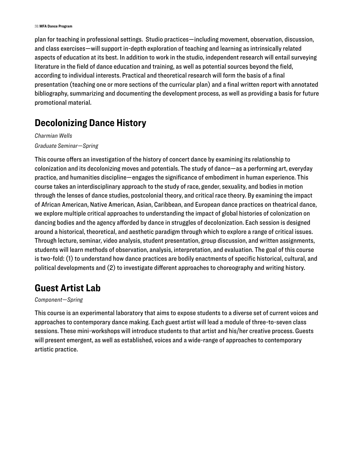plan for teaching in professional settings. Studio practices—including movement, observation, discussion, and class exercises—will support in-depth exploration of teaching and learning as intrinsically related aspects of education at its best. In addition to work in the studio, independent research will entail surveying literature in the field of dance education and training, as well as potential sources beyond the field, according to individual interests. Practical and theoretical research will form the basis of a final presentation (teaching one or more sections of the curricular plan) and a final written report with annotated bibliography, summarizing and documenting the development process, as well as providing a basis for future promotional material.

#### **Decolonizing Dance History**

*Charmian Wells Graduate Seminar—Spring* 

This course offers an investigation of the history of concert dance by examining its relationship to colonization and its decolonizing moves and potentials. The study of dance—as a performing art, everyday practice, and humanities discipline—engages the significance of embodiment in human experience. This course takes an interdisciplinary approach to the study of race, gender, sexuality, and bodies in motion through the lenses of dance studies, postcolonial theory, and critical race theory. By examining the impact of African American, Native American, Asian, Caribbean, and European dance practices on theatrical dance, we explore multiple critical approaches to understanding the impact of global histories of colonization on dancing bodies and the agency afforded by dance in struggles of decolonization. Each session is designed around a historical, theoretical, and aesthetic paradigm through which to explore a range of critical issues. Through lecture, seminar, video analysis, student presentation, group discussion, and written assignments, students will learn methods of observation, analysis, interpretation, and evaluation. The goal of this course is two-fold: (1) to understand how dance practices are bodily enactments of specific historical, cultural, and political developments and (2) to investigate different approaches to choreography and writing history.

#### **Guest Artist Lab**

#### *Component—Spring*

This course is an experimental laboratory that aims to expose students to a diverse set of current voices and approaches to contemporary dance making. Each guest artist will lead a module of three-to-seven class sessions. These mini-workshops will introduce students to that artist and his/her creative process. Guests will present emergent, as well as established, voices and a wide-range of approaches to contemporary artistic practice.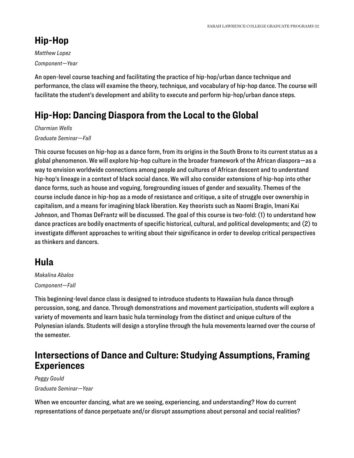#### **Hip-Hop**

*Matthew Lopez Component—Year* 

An open-level course teaching and facilitating the practice of hip-hop/urban dance technique and performance, the class will examine the theory, technique, and vocabulary of hip-hop dance. The course will facilitate the student's development and ability to execute and perform hip-hop/urban dance steps.

# **Hip-Hop: Dancing Diaspora from the Local to the Global**

*Charmian Wells* 

#### *Graduate Seminar—Fall*

This course focuses on hip-hop as a dance form, from its origins in the South Bronx to its current status as a global phenomenon. We will explore hip-hop culture in the broader framework of the African diaspora—as a way to envision worldwide connections among people and cultures of African descent and to understand hip-hop's lineage in a context of black social dance. We will also consider extensions of hip-hop into other dance forms, such as house and voguing, foregrounding issues of gender and sexuality. Themes of the course include dance in hip-hop as a mode of resistance and critique, a site of struggle over ownership in capitalism, and a means for imagining black liberation. Key theorists such as Naomi Bragin, Imani Kai Johnson, and Thomas DeFrantz will be discussed. The goal of this course is two-fold: (1) to understand how dance practices are bodily enactments of specific historical, cultural, and political developments; and (2) to investigate different approaches to writing about their significance in order to develop critical perspectives as thinkers and dancers.

#### **Hula**

*Makalina Abalos Component—Fall* 

This beginning-level dance class is designed to introduce students to Hawaiian hula dance through percussion, song, and dance. Through demonstrations and movement participation, students will explore a variety of movements and learn basic hula terminology from the distinct and unique culture of the Polynesian islands. Students will design a storyline through the hula movements learned over the course of the semester.

#### **Intersections of Dance and Culture: Studying Assumptions, Framing Experiences**

*Peggy Gould Graduate Seminar—Year* 

When we encounter dancing, what are we seeing, experiencing, and understanding? How do current representations of dance perpetuate and/or disrupt assumptions about personal and social realities?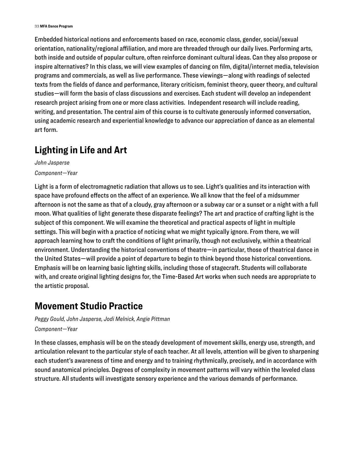Embedded historical notions and enforcements based on race, economic class, gender, social/sexual orientation, nationality/regional affiliation, and more are threaded through our daily lives. Performing arts, both inside and outside of popular culture, often reinforce dominant cultural ideas. Can they also propose or inspire alternatives? In this class, we will view examples of dancing on film, digital/internet media, television programs and commercials, as well as live performance. These viewings—along with readings of selected texts from the fields of dance and performance, literary criticism, feminist theory, queer theory, and cultural studies—will form the basis of class discussions and exercises. Each student will develop an independent research project arising from one or more class activities. Independent research will include reading, writing, and presentation. The central aim of this course is to cultivate generously informed conversation, using academic research and experiential knowledge to advance our appreciation of dance as an elemental art form.

#### **Lighting in Life and Art**

*John Jasperse Component—Year* 

Light is a form of electromagnetic radiation that allows us to see. Light's qualities and its interaction with space have profound effects on the affect of an experience. We all know that the feel of a midsummer afternoon is not the same as that of a cloudy, gray afternoon or a subway car or a sunset or a night with a full moon. What qualities of light generate these disparate feelings? The art and practice of crafting light is the subject of this component. We will examine the theoretical and practical aspects of light in multiple settings. This will begin with a practice of noticing what we might typically ignore. From there, we will approach learning how to craft the conditions of light primarily, though not exclusively, within a theatrical environment. Understanding the historical conventions of theatre—in particular, those of theatrical dance in the United States—will provide a point of departure to begin to think beyond those historical conventions. Emphasis will be on learning basic lighting skills, including those of stagecraft. Students will collaborate with, and create original lighting designs for, the Time-Based Art works when such needs are appropriate to the artistic proposal.

#### **Movement Studio Practice**

*Peggy Gould, John Jasperse, Jodi Melnick, Angie Pittman* 

*Component—Year* 

In these classes, emphasis will be on the steady development of movement skills, energy use, strength, and articulation relevant to the particular style of each teacher. At all levels, attention will be given to sharpening each student's awareness of time and energy and to training rhythmically, precisely, and in accordance with sound anatomical principles. Degrees of complexity in movement patterns will vary within the leveled class structure. All students will investigate sensory experience and the various demands of performance.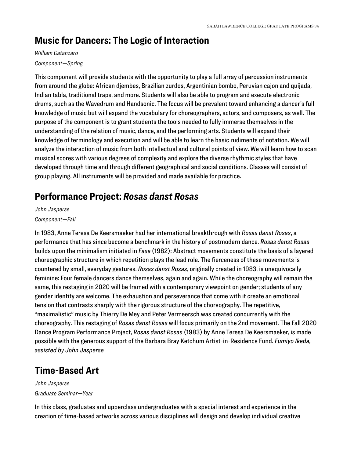### **Music for Dancers: The Logic of Interaction**

#### *William Catanzaro*

#### *Component—Spring*

This component will provide students with the opportunity to play a full array of percussion instruments from around the globe: African djembes, Brazilian zurdos, Argentinian bombo, Peruvian cajon and quijada, Indian tabla, traditional traps, and more. Students will also be able to program and execute electronic drums, such as the Wavedrum and Handsonic. The focus will be prevalent toward enhancing a dancer's full knowledge of music but will expand the vocabulary for choreographers, actors, and composers, as well. The purpose of the component is to grant students the tools needed to fully immerse themselves in the understanding of the relation of music, dance, and the performing arts. Students will expand their knowledge of terminology and execution and will be able to learn the basic rudiments of notation. We will analyze the interaction of music from both intellectual and cultural points of view. We will learn how to scan musical scores with various degrees of complexity and explore the diverse rhythmic styles that have developed through time and through different geographical and social conditions. Classes will consist of group playing. All instruments will be provided and made available for practice.

#### **Performance Project:** *Rosas danst Rosas*

#### *John Jasperse*

#### *Component—Fall*

In 1983, Anne Teresa De Keersmaeker had her international breakthrough with *Rosas danst Rosas*, a performance that has since become a benchmark in the history of postmodern dance. *Rosas danst Rosas*  builds upon the minimalism initiated in *Fase* (1982): Abstract movements constitute the basis of a layered choreographic structure in which repetition plays the lead role. The fierceness of these movements is countered by small, everyday gestures. *Rosas danst Rosas*, originally created in 1983, is unequivocally feminine: Four female dancers dance themselves, again and again. While the choreography will remain the same, this restaging in 2020 will be framed with a contemporary viewpoint on gender; students of any gender identity are welcome. The exhaustion and perseverance that come with it create an emotional tension that contrasts sharply with the rigorous structure of the choreography. The repetitive, "maximalistic" music by Thierry De Mey and Peter Vermeersch was created concurrently with the choreography. This restaging of *Rosas danst Rosas* will focus primarily on the 2nd movement. The Fall 2020 Dance Program Performance Project, *Rosas danst Rosas* (1983) by Anne Teresa De Keersmaeker, is made possible with the generous support of the Barbara Bray Ketchum Artist-in-Residence Fund. *Fumiyo Ikeda, assisted by John Jasperse* 

#### **Time-Based Art**

*John Jasperse Graduate Seminar—Year* 

In this class, graduates and upperclass undergraduates with a special interest and experience in the creation of time-based artworks across various disciplines will design and develop individual creative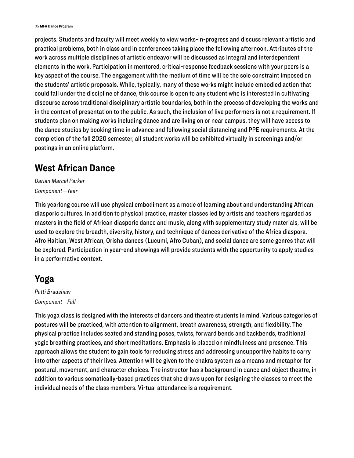projects. Students and faculty will meet weekly to view works-in-progress and discuss relevant artistic and practical problems, both in class and in conferences taking place the following afternoon. Attributes of the work across multiple disciplines of artistic endeavor will be discussed as integral and interdependent elements in the work. Participation in mentored, critical-response feedback sessions with your peers is a key aspect of the course. The engagement with the medium of time will be the sole constraint imposed on the students' artistic proposals. While, typically, many of these works might include embodied action that could fall under the discipline of dance, this course is open to any student who is interested in cultivating discourse across traditional disciplinary artistic boundaries, both in the process of developing the works and in the context of presentation to the public. As such, the inclusion of live performers is not a requirement. If students plan on making works including dance and are living on or near campus, they will have access to the dance studios by booking time in advance and following social distancing and PPE requirements. At the completion of the fall 2020 semester, all student works will be exhibited virtually in screenings and/or postings in an online platform.

#### **West African Dance**

*Darian Marcel Parker Component—Year* 

This yearlong course will use physical embodiment as a mode of learning about and understanding African diasporic cultures. In addition to physical practice, master classes led by artists and teachers regarded as masters in the field of African diasporic dance and music, along with supplementary study materials, will be used to explore the breadth, diversity, history, and technique of dances derivative of the Africa diaspora. Afro Haitian, West African, Orisha dances (Lucumi, Afro Cuban), and social dance are some genres that will be explored. Participation in year-end showings will provide students with the opportunity to apply studies in a performative context.

#### **Yoga**

*Patti Bradshaw Component—Fall* 

This yoga class is designed with the interests of dancers and theatre students in mind. Various categories of postures will be practiced, with attention to alignment, breath awareness, strength, and flexibility. The physical practice includes seated and standing poses, twists, forward bends and backbends, traditional yogic breathing practices, and short meditations. Emphasis is placed on mindfulness and presence. This approach allows the student to gain tools for reducing stress and addressing unsupportive habits to carry into other aspects of their lives. Attention will be given to the chakra system as a means and metaphor for postural, movement, and character choices. The instructor has a background in dance and object theatre, in addition to various somatically-based practices that she draws upon for designing the classes to meet the individual needs of the class members. Virtual attendance is a requirement.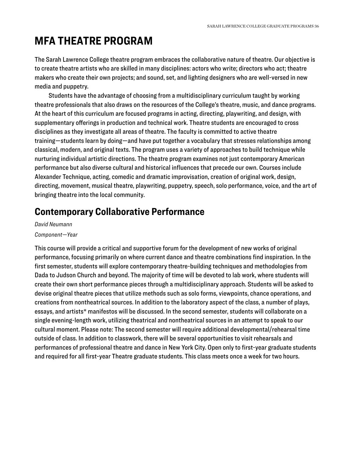# <span id="page-36-0"></span>**MFA THEATRE PROGRAM**

The Sarah Lawrence College theatre program embraces the collaborative nature of theatre. Our objective is to create theatre artists who are skilled in many disciplines: actors who write; directors who act; theatre makers who create their own projects; and sound, set, and lighting designers who are well-versed in new media and puppetry.

Students have the advantage of choosing from a multidisciplinary curriculum taught by working theatre professionals that also draws on the resources of the College's theatre, music, and dance programs. At the heart of this curriculum are focused programs in acting, directing, playwriting, and design, with supplementary offerings in production and technical work. Theatre students are encouraged to cross disciplines as they investigate all areas of theatre. The faculty is committed to active theatre training—students learn by doing—and have put together a vocabulary that stresses relationships among classical, modern, and original texts. The program uses a variety of approaches to build technique while nurturing individual artistic directions. The theatre program examines not just contemporary American performance but also diverse cultural and historical influences that precede our own. Courses include Alexander Technique, acting, comedic and dramatic improvisation, creation of original work, design, directing, movement, musical theatre, playwriting, puppetry, speech, solo performance, voice, and the art of bringing theatre into the local community.

#### **Contemporary Collaborative Performance**

*David Neumann Component—Year* 

This course will provide a critical and supportive forum for the development of new works of original performance, focusing primarily on where current dance and theatre combinations find inspiration. In the first semester, students will explore contemporary theatre-building techniques and methodologies from Dada to Judson Church and beyond. The majority of time will be devoted to lab work, where students will create their own short performance pieces through a multidisciplinary approach. Students will be asked to devise original theatre pieces that utilize methods such as solo forms, viewpoints, chance operations, and creations from nontheatrical sources. In addition to the laboratory aspect of the class, a number of plays, essays, and artists\* manifestos will be discussed. In the second semester, students will collaborate on a single evening-length work, utilizing theatrical and nontheatrical sources in an attempt to speak to our cultural moment. Please note: The second semester will require additional developmental/rehearsal time outside of class. In addition to classwork, there will be several opportunities to visit rehearsals and performances of professional theatre and dance in New York City. Open only to first-year graduate students and required for all first-year Theatre graduate students. This class meets once a week for two hours.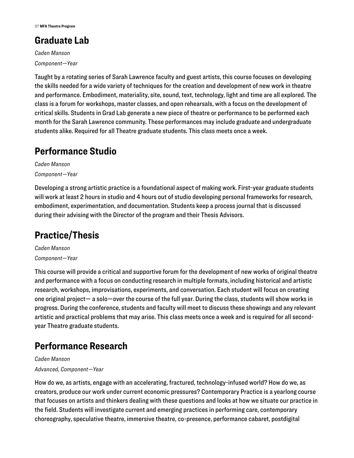# **Graduate Lab**

*Caden Manson Component—Year* 

Taught by a rotating series of Sarah Lawrence faculty and guest artists, this course focuses on developing the skills needed for a wide variety of techniques for the creation and development of new work in theatre and performance. Embodiment, materiality, site, sound, text, technology, light and time are all explored. The class is a forum for workshops, master classes, and open rehearsals, with a focus on the development of critical skills. Students in Grad Lab generate a new piece of theatre or performance to be performed each month for the Sarah Lawrence community. These performances may include graduate and undergraduate students alike. Required for all Theatre graduate students. This class meets once a week.

# **Performance Studio**

*Caden Manson Component—Year* 

Developing a strong artistic practice is a foundational aspect of making work. First-year graduate students will work at least 2 hours in studio and 4 hours out of studio developing personal frameworks for research, embodiment, experimentation, and documentation. Students keep a process journal that is discussed during their advising with the Director of the program and their Thesis Advisors.

# **Practice/Thesis**

*Caden Manson Component—Year* 

This course will provide a critical and supportive forum for the development of new works of original theatre and performance with a focus on conducting research in multiple formats, including historical and artistic research, workshops, improvisations, experiments, and conversation. Each student will focus on creating one original project— a solo—over the course of the full year. During the class, students will show works in progress. During the conference, students and faculty will meet to discuss these showings and any relevant artistic and practical problems that may arise. This class meets once a week and is required for all secondyear Theatre graduate students.

# **Performance Research**

*Caden Manson Advanced, Component—Year* 

How do we, as artists, engage with an accelerating, fractured, technology-infused world? How do we, as creators, produce our work under current economic pressures? Contemporary Practice is a yearlong course that focuses on artists and thinkers dealing with these questions and looks at how we situate our practice in the field. Students will investigate current and emerging practices in performing care, contemporary choreography, speculative theatre, immersive theatre, co-presence, performance cabaret, postdigital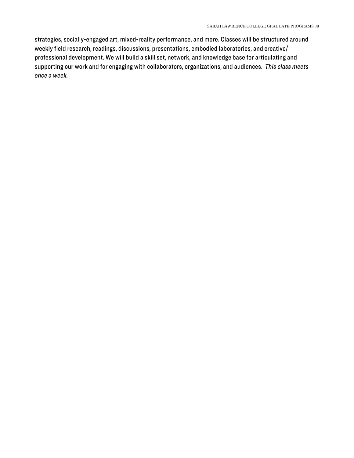strategies, socially-engaged art, mixed-reality performance, and more. Classes will be structured around weekly field research, readings, discussions, presentations, embodied laboratories, and creative/ professional development. We will build a skill set, network, and knowledge base for articulating and supporting our work and for engaging with collaborators, organizations, and audiences. *This class meets once a week.*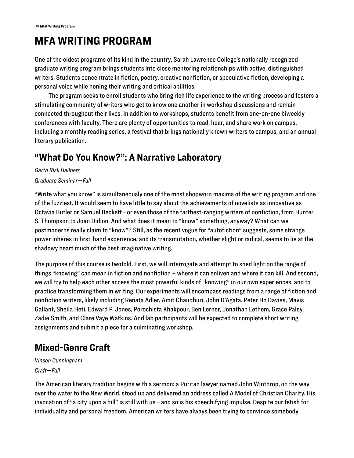# <span id="page-39-0"></span>**MFA WRITING PROGRAM**

One of the oldest programs of its kind in the country, Sarah Lawrence College's nationally recognized graduate writing program brings students into close mentoring relationships with active, distinguished writers. Students concentrate in fiction, poetry, creative nonfiction, or speculative fiction, developing a personal voice while honing their writing and critical abilities.

The program seeks to enroll students who bring rich life experience to the writing process and fosters a stimulating community of writers who get to know one another in workshop discussions and remain connected throughout their lives. In addition to workshops, students benefit from one-on-one biweekly conferences with faculty. There are plenty of opportunities to read, hear, and share work on campus, including a monthly reading series, a festival that brings nationally known writers to campus, and an annual literary publication.

### **"What Do You Know?": A Narrative Laboratory**

*Garth Risk Hallberg Graduate Seminar—Fall* 

"Write what you know" is simultaneously one of the most shopworn maxims of the writing program and one of the fuzziest. It would seem to have little to say about the achievements of novelists as innovative as Octavia Butler or Samuel Beckett - or even those of the farthest-ranging writers of nonfiction, from Hunter S. Thompson to Joan Didion. And what does it mean to "know" something, anyway? What can we postmoderns really claim to "know"? Still, as the recent vogue for "autofiction" suggests, some strange power inheres in first-hand experience, and its transmutation, whether slight or radical, seems to lie at the shadowy heart much of the best imaginative writing.

The purpose of this course is twofold. First, we will interrogate and attempt to shed light on the range of things "knowing" can mean in fiction and nonfiction – where it can enliven and where it can kill. And second, we will try to help each other access the most powerful kinds of "knowing" in our own experiences, and to practice transforming them in writing. Our experiments will encompass readings from a range of fiction and nonfiction writers, likely including Renata Adler, Amit Chaudhuri, John D'Agata, Peter Ho Davies, Mavis Gallant, Sheila Heti, Edward P. Jones, Porochista Khakpour, Ben Lerner, Jonathan Lethem, Grace Paley, Zadie Smith, and Clare Vaye Watkins. And lab participants will be expected to complete short writing assignments and submit a piece for a culminating workshop.

# **Mixed-Genre Craft**

*Vinson Cunningham Craft—Fall* 

The American literary tradition begins with a sermon: a Puritan lawyer named John Winthrop, on the way over the water to the New World, stood up and delivered an address called A Model of Christian Charity. His invocation of "a city upon a hill" is still with us—and so is his speechifying impulse. Despite our fetish for individuality and personal freedom, American writers have always been trying to convince somebody,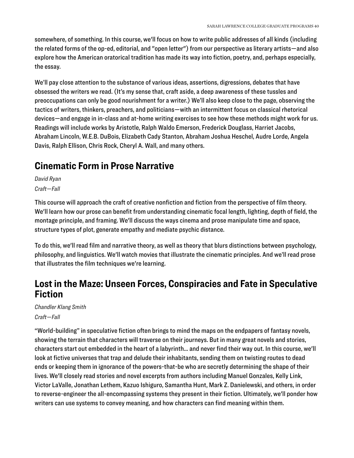somewhere, of something. In this course, we'll focus on how to write public addresses of all kinds (including the related forms of the op-ed, editorial, and "open letter") from our perspective as literary artists—and also explore how the American oratorical tradition has made its way into fiction, poetry, and, perhaps especially, the essay.

We'll pay close attention to the substance of various ideas, assertions, digressions, debates that have obsessed the writers we read. (It's my sense that, craft aside, a deep awareness of these tussles and preoccupations can only be good nourishment for a writer.) We'll also keep close to the page, observing the tactics of writers, thinkers, preachers, and politicians—with an intermittent focus on classical rhetorical devices—and engage in in-class and at-home writing exercises to see how these methods might work for us. Readings will include works by Aristotle, Ralph Waldo Emerson, Frederick Douglass, Harriet Jacobs, Abraham Lincoln, W.E.B. DuBois, Elizabeth Cady Stanton, Abraham Joshua Heschel, Audre Lorde, Angela Davis, Ralph Ellison, Chris Rock, Cheryl A. Wall, and many others.

#### **Cinematic Form in Prose Narrative**

*David Ryan* 

*Craft—Fall* 

This course will approach the craft of creative nonfiction and fiction from the perspective of film theory. We'll learn how our prose can benefit from understanding cinematic focal length, lighting, depth of field, the montage principle, and framing. We'll discuss the ways cinema and prose manipulate time and space, structure types of plot, generate empathy and mediate psychic distance.

To do this, we'll read film and narrative theory, as well as theory that blurs distinctions between psychology, philosophy, and linguistics. We'll watch movies that illustrate the cinematic principles. And we'll read prose that illustrates the film techniques we're learning.

#### **Lost in the Maze: Unseen Forces, Conspiracies and Fate in Speculative Fiction**

*Chandler Klang Smith Craft—Fall* 

"World-building" in speculative fiction often brings to mind the maps on the endpapers of fantasy novels, showing the terrain that characters will traverse on their journeys. But in many great novels and stories, characters start out embedded in the heart of a labyrinth... and never find their way out. In this course, we'll look at fictive universes that trap and delude their inhabitants, sending them on twisting routes to dead ends or keeping them in ignorance of the powers-that-be who are secretly determining the shape of their lives. We'll closely read stories and novel excerpts from authors including Manuel Gonzales, Kelly Link, Victor LaValle, Jonathan Lethem, Kazuo Ishiguro, Samantha Hunt, Mark Z. Danielewski, and others, in order to reverse-engineer the all-encompassing systems they present in their fiction. Ultimately, we'll ponder how writers can use systems to convey meaning, and how characters can find meaning within them.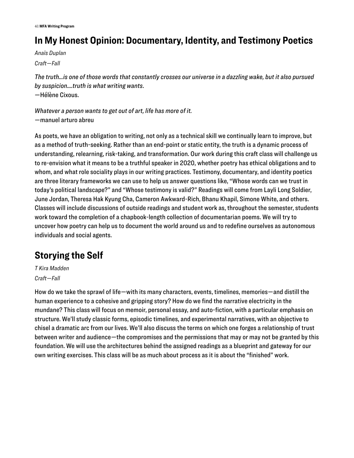# **In My Honest Opinion: Documentary, Identity, and Testimony Poetics**

*Anaïs Duplan Craft—Fall* 

*The truth…is one of those words that constantly crosses our universe in a dazzling wake, but it also pursued by suspicion….truth is what writing wants*. —Hélène Cixous.

*Whatever a person wants to get out of art, life has more of it.*  —manuel arturo abreu

As poets, we have an obligation to writing, not only as a technical skill we continually learn to improve, but as a method of truth-seeking. Rather than an end-point or static entity, the truth is a dynamic process of understanding, relearning, risk-taking, and transformation. Our work during this craft class will challenge us to re-envision what it means to be a truthful speaker in 2020, whether poetry has ethical obligations and to whom, and what role sociality plays in our writing practices. Testimony, documentary, and identity poetics are three literary frameworks we can use to help us answer questions like, "Whose words can we trust in today's political landscape?" and "Whose testimony is valid?" Readings will come from Layli Long Soldier, June Jordan, Theresa Hak Kyung Cha, Cameron Awkward-Rich, Bhanu Khapil, Simone White, and others. Classes will include discussions of outside readings and student work as, throughout the semester, students work toward the completion of a chapbook-length collection of documentarian poems. We will try to uncover how poetry can help us to document the world around us and to redefine ourselves as autonomous individuals and social agents.

# **Storying the Self**

*T Kira Madden Craft—Fall* 

How do we take the sprawl of life—with its many characters, events, timelines, memories—and distill the human experience to a cohesive and gripping story? How do we find the narrative electricity in the mundane? This class will focus on memoir, personal essay, and auto-fiction, with a particular emphasis on structure. We'll study classic forms, episodic timelines, and experimental narratives, with an objective to chisel a dramatic arc from our lives. We'll also discuss the terms on which one forges a relationship of trust between writer and audience—the compromises and the permissions that may or may not be granted by this foundation. We will use the architectures behind the assigned readings as a blueprint and gateway for our own writing exercises. This class will be as much about process as it is about the "finished" work.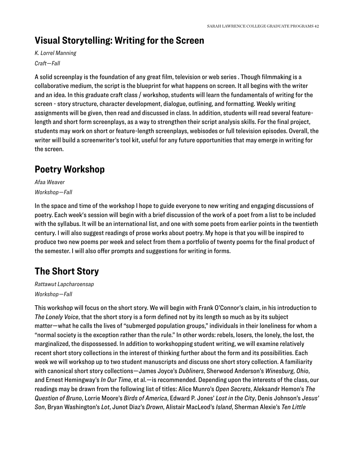### **Visual Storytelling: Writing for the Screen**

#### *K. Lorrel Manning Craft—Fall*

A solid screenplay is the foundation of any great film, television or web series . Though filmmaking is a collaborative medium, the script is the blueprint for what happens on screen. It all begins with the writer and an idea. In this graduate craft class / workshop, students will learn the fundamentals of writing for the screen - story structure, character development, dialogue, outlining, and formatting. Weekly writing assignments will be given, then read and discussed in class. In addition, students will read several featurelength and short form screenplays, as a way to strengthen their script analysis skills. For the final project, students may work on short or feature-length screenplays, webisodes or full television episodes. Overall, the writer will build a screenwriter's tool kit, useful for any future opportunities that may emerge in writing for the screen.

# **Poetry Workshop**

*Afaa Weaver Workshop—Fall* 

In the space and time of the workshop I hope to guide everyone to new writing and engaging discussions of poetry. Each week's session will begin with a brief discussion of the work of a poet from a list to be included with the syllabus. It will be an international list, and one with some poets from earlier points in the twentieth century. I will also suggest readings of prose works about poetry. My hope is that you will be inspired to produce two new poems per week and select from them a portfolio of twenty poems for the final product of the semester. I will also offer prompts and suggestions for writing in forms.

# **The Short Story**

*Rattawut Lapcharoensap Workshop—Fall* 

This workshop will focus on the short story. We will begin with Frank O'Connor's claim, in his introduction to *The Lonely Voice*, that the short story is a form defined not by its length so much as by its subject matter—what he calls the lives of "submerged population groups," individuals in their loneliness for whom a "normal society is the exception rather than the rule." In other words: rebels, losers, the lonely, the lost, the marginalized, the dispossessed. In addition to workshopping student writing, we will examine relatively recent short story collections in the interest of thinking further about the form and its possibilities. Each week we will workshop up to two student manuscripts and discuss one short story collection. A familiarity with canonical short story collections—James Joyce's *Dubliners*, Sherwood Anderson's *Winesburg, Ohio*, and Ernest Hemingway's *In Our Time*, et al.—is recommended. Depending upon the interests of the class, our readings may be drawn from the following list of titles: Alice Munro's *Open Secrets*, Aleksandr Hemon's *The Question of Bruno*, Lorrie Moore's *Birds of America*, Edward P. Jones' *Lost in the City*, Denis Johnson's *Jesus' Son*, Bryan Washington's *Lot*, Junot Diaz's *Drown*, Alistair MacLeod's *Island*, Sherman Alexie's *Ten Little*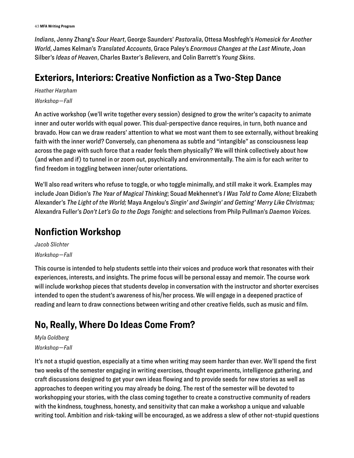43 **MFA Writing Program**

*Indians*, Jenny Zhang's *Sour Heart*, George Saunders' *Pastoralia*, Ottesa Moshfegh's *Homesick for Another World*, James Kelman's *Translated Accounts*, Grace Paley's *Enormous Changes at the Last Minute*, Joan Silber's *Ideas of Heaven*, Charles Baxter's *Believers*, and Colin Barrett's *Young Skins*.

#### **Exteriors, Interiors: Creative Nonfiction as a Two-Step Dance**

*Heather Harpham Workshop—Fall* 

An active workshop (we'll write together every session) designed to grow the writer's capacity to animate inner and outer worlds with equal power. This dual-perspective dance requires, in turn, both nuance and bravado. How can we draw readers' attention to what we most want them to see externally, without breaking faith with the inner world? Conversely, can phenomena as subtle and "intangible" as consciousness leap across the page with such force that a reader feels them physically? We will think collectively about how (and when and if) to tunnel in or zoom out, psychically and environmentally. The aim is for each writer to find freedom in toggling between inner/outer orientations.

We'll also read writers who refuse to toggle, or who toggle minimally, and still make it work. Examples may include Joan Didion's *The Year of Magical Thinking*; Souad Mekhennet's *I Was Told to Come Alone;* Elizabeth Alexander's *The Light of the World;* Maya Angelou's *Singin' and Swingin' and Getting' Merry Like Christmas;* Alexandra Fuller's *Don't Let's Go to the Dogs Tonight:* and selections from Philp Pullman's *Daemon Voices.* 

### **Nonfiction Workshop**

*Jacob Slichter Workshop—Fall* 

This course is intended to help students settle into their voices and produce work that resonates with their experiences, interests, and insights. The prime focus will be personal essay and memoir. The course work will include workshop pieces that students develop in conversation with the instructor and shorter exercises intended to open the student's awareness of his/her process. We will engage in a deepened practice of reading and learn to draw connections between writing and other creative fields, such as music and film.

# **No, Really, Where Do Ideas Come From?**

#### *Myla Goldberg*

#### *Workshop—Fall*

It's not a stupid question, especially at a time when writing may seem harder than ever. We'll spend the first two weeks of the semester engaging in writing exercises, thought experiments, intelligence gathering, and craft discussions designed to get your own ideas flowing and to provide seeds for new stories as well as approaches to deepen writing you may already be doing. The rest of the semester will be devoted to workshopping your stories, with the class coming together to create a constructive community of readers with the kindness, toughness, honesty, and sensitivity that can make a workshop a unique and valuable writing tool. Ambition and risk-taking will be encouraged, as we address a slew of other not-stupid questions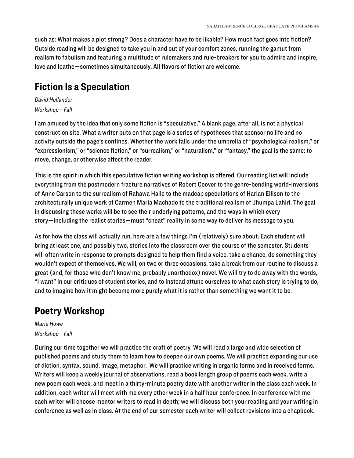such as: What makes a plot strong? Does a character have to be likable? How much fact goes into fiction? Outside reading will be designed to take you in and out of your comfort zones, running the gamut from realism to fabulism and featuring a multitude of rulemakers and rule-breakers for you to admire and inspire, love and loathe—sometimes simultaneously. All flavors of fiction are welcome.

#### **Fiction Is a Speculation**

*David Hollander Workshop—Fall* 

I am amused by the idea that only some fiction is "speculative." A blank page, after all, is not a physical construction site. What a writer puts on that page is a series of hypotheses that sponsor no life and no activity outside the page's confines. Whether the work falls under the umbrella of "psychological realism," or "expressionism," or "science fiction," or "surrealism," or "naturalism," or "fantasy," the goal is the same: to move, change, or otherwise affect the reader.

This is the spirit in which this speculative fiction writing workshop is offered. Our reading list will include everything from the postmodern fracture narratives of Robert Coover to the genre-bending world-inversions of Anne Carson to the surrealism of Rahawa Haile to the madcap speculations of Harlan Ellison to the architecturally unique work of Carmen Maria Machado to the traditional realism of Jhumpa Lahiri. The goal in discussing these works will be to see their underlying patterns, and the ways in which every story—including the realist stories—must "cheat" reality in some way to deliver its message to you.

As for how the class will actually run, here are a few things I'm (relatively) sure about. Each student will bring at least one, and possibly two, stories into the classroom over the course of the semester. Students will often write in response to prompts designed to help them find a voice, take a chance, do something they wouldn't expect of themselves. We will, on two or three occasions, take a break from our routine to discuss a great (and, for those who don't know me, probably unorthodox) novel. We will try to do away with the words, "I want" in our critiques of student stories, and to instead attune ourselves to what each story is trying to do, and to imagine how it might become more purely what it is rather than something we want it to be.

### **Poetry Workshop**

#### *Marie Howe Workshop—Fall*

During our time together we will practice the craft of poetry. We will read a large and wide selection of published poems and study them to learn how to deepen our own poems. We will practice expanding our use of diction, syntax, sound, image, metaphor. We will practice writing in organic forms and in received forms. Writers will keep a weekly journal of observations, read a book length group of poems each week, write a new poem each week, and meet in a thirty-minute poetry date with another writer in the class each week. In addition, each writer will meet with me every other week in a half hour conference. In conference with me each writer will choose mentor writers to read in depth; we will discuss both your reading and your writing in conference as well as in class. At the end of our semester each writer will collect revisions into a chapbook.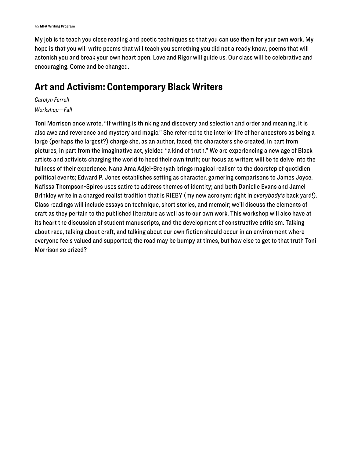My job is to teach you close reading and poetic techniques so that you can use them for your own work. My hope is that you will write poems that will teach you something you did not already know, poems that will astonish you and break your own heart open. Love and Rigor will guide us. Our class will be celebrative and encouraging. Come and be changed.

#### **Art and Activism: Contemporary Black Writers**

*Carolyn Ferrell Workshop—Fall* 

Toni Morrison once wrote, "If writing is thinking and discovery and selection and order and meaning, it is also awe and reverence and mystery and magic." She referred to the interior life of her ancestors as being a large (perhaps the largest?) charge she, as an author, faced; the characters she created, in part from pictures, in part from the imaginative act, yielded "a kind of truth." We are experiencing a new age of Black artists and activists charging the world to heed their own truth; our focus as writers will be to delve into the fullness of their experience. Nana Ama Adjei-Brenyah brings magical realism to the doorstep of quotidien political events; Edward P. Jones establishes setting as character, garnering comparisons to James Joyce. Nafissa Thompson-Spires uses satire to address themes of identity; and both Danielle Evans and Jamel Brinkley write in a charged realist tradition that is RIEBY (my new acronym: right in *everybody's* back yard!). Class readings will include essays on technique, short stories, and memoir; we'll discuss the elements of craft as they pertain to the published literature as well as to our own work. This workshop will also have at its heart the discussion of student manuscripts, and the development of constructive criticism. Talking about race, talking about craft, and talking about our own fiction should occur in an environment where everyone feels valued and supported; the road may be bumpy at times, but how else to get to that truth Toni Morrison so prized?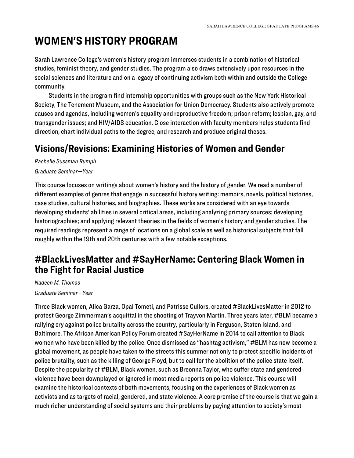# <span id="page-46-0"></span>**WOMEN'S HISTORY PROGRAM**

Sarah Lawrence College's women's history program immerses students in a combination of historical studies, feminist theory, and gender studies. The program also draws extensively upon resources in the social sciences and literature and on a legacy of continuing activism both within and outside the College community.

Students in the program find internship opportunities with groups such as the New York Historical Society, The Tenement Museum, and the Association for Union Democracy. Students also actively promote causes and agendas, including women's equality and reproductive freedom; prison reform; lesbian, gay, and transgender issues; and HIV/AIDS education. Close interaction with faculty members helps students find direction, chart individual paths to the degree, and research and produce original theses.

#### **Visions/Revisions: Examining Histories of Women and Gender**

*Rachelle Sussman Rumph Graduate Seminar—Year* 

This course focuses on writings about women's history and the history of gender. We read a number of different examples of genres that engage in successful history writing: memoirs, novels, political histories, case studies, cultural histories, and biographies. These works are considered with an eye towards developing students' abilities in several critical areas, including analyzing primary sources; developing historiographies; and applying relevant theories in the fields of women's history and gender studies. The required readings represent a range of locations on a global scale as well as historical subjects that fall roughly within the 19th and 20th centuries with a few notable exceptions.

#### **#BlackLivesMatter and #SayHerName: Centering Black Women in the Fight for Racial Justice**

*Nadeen M. Thomas Graduate Seminar—Year* 

Three Black women, Alica Garza, Opal Tometi, and Patrisse Cullors, created #BlackLivesMatter in 2012 to protest George Zimmerman's acquittal in the shooting of Trayvon Martin. Three years later, #BLM became a rallying cry against police brutality across the country, particularly in Ferguson, Staten Island, and Baltimore. The African American Policy Forum created #SayHerName in 2014 to call attention to Black women who have been killed by the police. Once dismissed as "hashtag activism," #BLM has now become a global movement, as people have taken to the streets this summer not only to protest specific incidents of police brutality, such as the killing of George Floyd, but to call for the abolition of the police state itself. Despite the popularity of #BLM, Black women, such as Breonna Taylor, who suffer state and gendered violence have been downplayed or ignored in most media reports on police violence. This course will examine the historical contexts of both movements, focusing on the experiences of Black women as activists and as targets of racial, gendered, and state violence. A core premise of the course is that we gain a much richer understanding of social systems and their problems by paying attention to society's most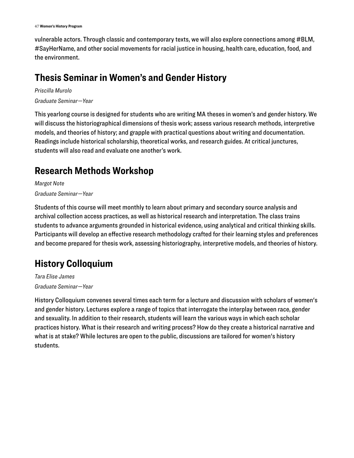vulnerable actors. Through classic and contemporary texts, we will also explore connections among #BLM, #SayHerName, and other social movements for racial justice in housing, health care, education, food, and the environment.

### **Thesis Seminar in Women's and Gender History**

*Priscilla Murolo Graduate Seminar—Year* 

This yearlong course is designed for students who are writing MA theses in women's and gender history. We will discuss the historiographical dimensions of thesis work; assess various research methods, interpretive models, and theories of history; and grapple with practical questions about writing and documentation. Readings include historical scholarship, theoretical works, and research guides. At critical junctures, students will also read and evaluate one another's work.

# **Research Methods Workshop**

*Margot Note Graduate Seminar—Year* 

Students of this course will meet monthly to learn about primary and secondary source analysis and archival collection access practices, as well as historical research and interpretation. The class trains students to advance arguments grounded in historical evidence, using analytical and critical thinking skills. Participants will develop an effective research methodology crafted for their learning styles and preferences and become prepared for thesis work, assessing historiography, interpretive models, and theories of history.

# **History Colloquium**

*Tara Elise James Graduate Seminar—Year* 

History Colloquium convenes several times each term for a lecture and discussion with scholars of women's and gender history. Lectures explore a range of topics that interrogate the interplay between race, gender and sexuality. In addition to their research, students will learn the various ways in which each scholar practices history. What is their research and writing process? How do they create a historical narrative and what is at stake? While lectures are open to the public, discussions are tailored for women's history students.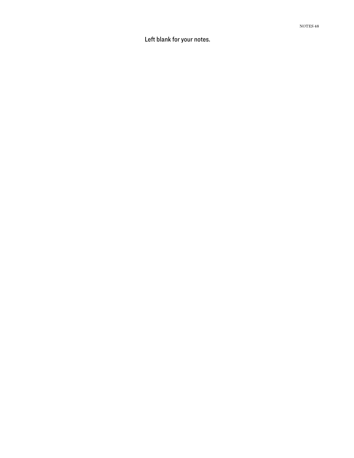L e ft blank for your no tes.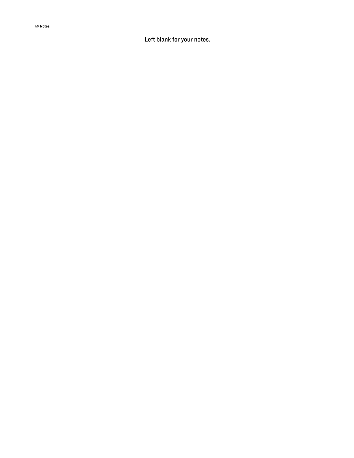49 **No tes**

L e ft blank for your no tes.